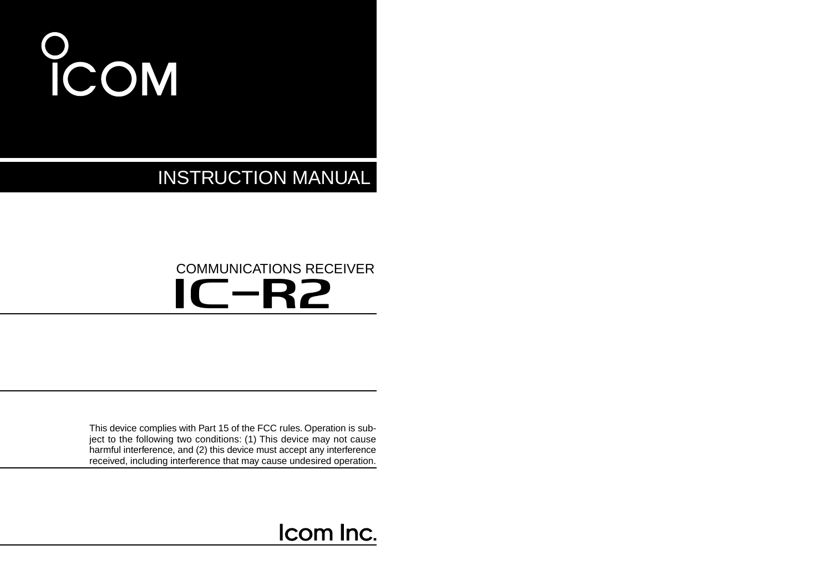# O<br>ICOM

INSTRUCTION MANUAL

## IC-R2 COMMUNICATIONS RECEIVER

This device complies with Part 15 of the FCC rules. Operation is subject to the following two conditions: (1) This device may not cause harmful interference, and (2) this device must accept any interference received, including interference that may cause undesired operation.

## Icom Inc.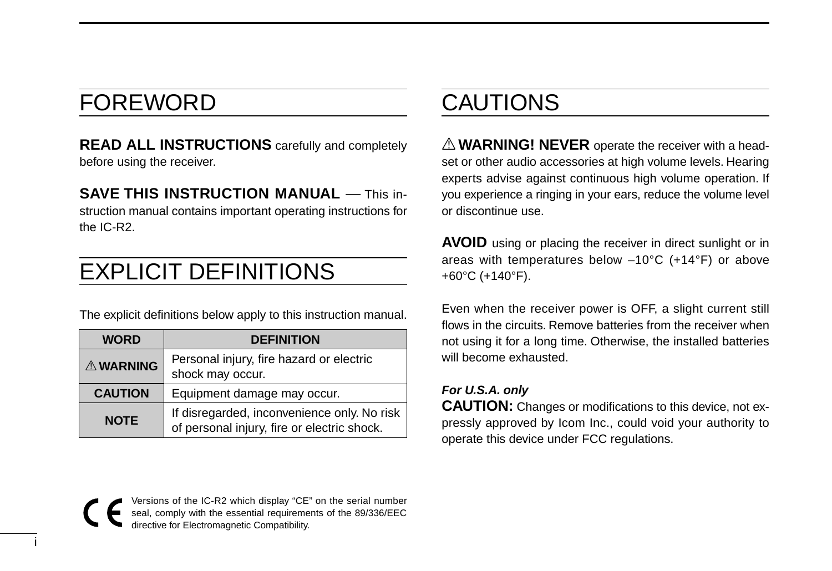## FOREWORD

**READ ALL INSTRUCTIONS** carefully and completely before using the receiver.

**SAVE THIS INSTRUCTION MANUAL** — This instruction manual contains important operating instructions for the IC-R2.

## EXPLICIT DEFINITIONS

The explicit definitions below apply to this instruction manual.

| <b>WORD</b>     | <b>DEFINITION</b>                                                                          |
|-----------------|--------------------------------------------------------------------------------------------|
| <b>AWARNING</b> | Personal injury, fire hazard or electric<br>shock may occur.                               |
| <b>CAUTION</b>  | Equipment damage may occur.                                                                |
| <b>NOTE</b>     | If disregarded, inconvenience only. No risk<br>of personal injury, fire or electric shock. |

## CAUTIONS

 $\triangle$  **WARNING! NEVER** operate the receiver with a headset or other audio accessories at high volume levels. Hearing experts advise against continuous high volume operation. If you experience a ringing in your ears, reduce the volume level or discontinue use.

**AVOID** using or placing the receiver in direct sunlight or in areas with temperatures below –10°C (+14°F) or above +60°C (+140°F).

Even when the receiver power is OFF, a slight current still flows in the circuits. Remove batteries from the receiver when not using it for a long time. Otherwise, the installed batteries will become exhausted.

### **For U.S.A. only**

**CAUTION:** Changes or modifications to this device, not expressly approved by Icom Inc., could void your authority to operate this device under FCC regulations.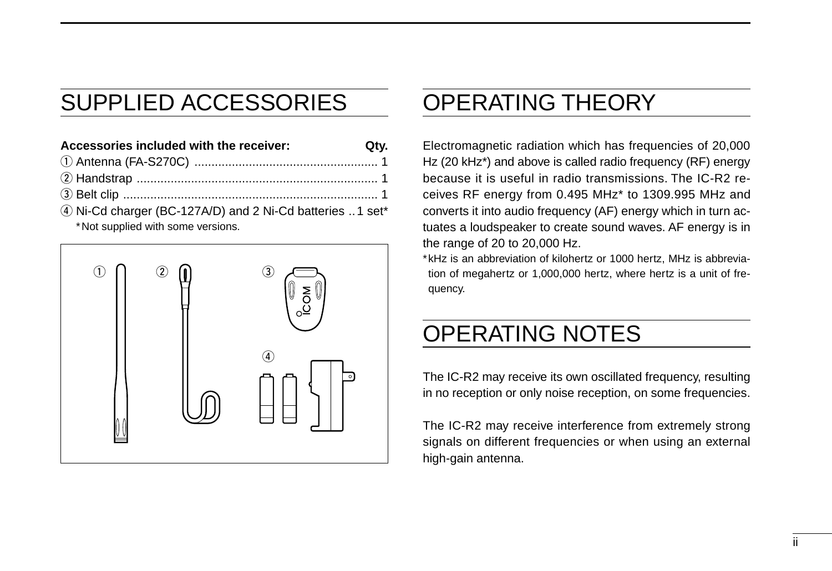## SUPPLIED ACCESSORIES

**Accessories included with the receiver: Qty.** q Antenna (FA-S270C) ...................................................... 1 w Handstrap ....................................................................... 1 e Belt clip ........................................................................... 1

4) Ni-Cd charger (BC-127A/D) and 2 Ni-Cd batteries ..1 set\* \*Not supplied with some versions.



## OPERATING THEORY

Electromagnetic radiation which has frequencies of 20,000 Hz (20 kHz\*) and above is called radio frequency (RF) energy because it is useful in radio transmissions. The IC-R2 receives RF energy from 0.495 MHz\* to 1309.995 MHz and converts it into audio frequency (AF) energy which in turn actuates a loudspeaker to create sound waves. AF energy is in the range of 20 to 20,000 Hz.

\*kHz is an abbreviation of kilohertz or 1000 hertz, MHz is abbreviation of megahertz or 1,000,000 hertz, where hertz is a unit of frequency.

## OPERATING NOTES

The IC-R2 may receive its own oscillated frequency, resulting in no reception or only noise reception, on some frequencies.

The IC-R2 may receive interference from extremely strong signals on different frequencies or when using an external high-gain antenna.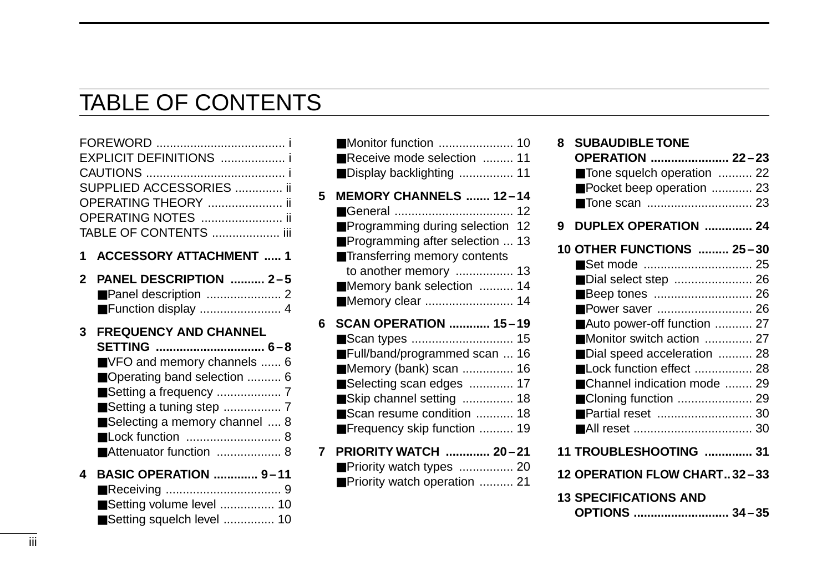## TABLE OF CONTENTS

| SUPPLIED ACCESSORIES  ii |
|--------------------------|
|                          |
|                          |
| TABLE OF CONTENTS  iii   |

**1 ACCESSORY ATTACHMENT ..... 1**

| 2 PANEL DESCRIPTION  2-5 |  |
|--------------------------|--|
|                          |  |
|                          |  |

### **3 FREQUENCY AND CHANNEL**

| ■ VFO and memory channels  6  |
|-------------------------------|
| ■ Operating band selection  6 |
|                               |
| ■Setting a tuning step  7     |
| Selecting a memory channel  8 |
|                               |
| ■ Attenuator function  8      |
|                               |

| 4 BASIC OPERATION  9-11    |  |
|----------------------------|--|
|                            |  |
| ■ Setting volume level  10 |  |
| Setting squelch level  10  |  |

|   | Receive mode selection  11<br>Display backlighting  11                                                                                                                                                          |  |
|---|-----------------------------------------------------------------------------------------------------------------------------------------------------------------------------------------------------------------|--|
| 5 | MEMORY CHANNELS  12-14<br>Programming during selection 12<br>Programming after selection  13<br>Transferring memory contents<br>to another memory  13<br>Memory bank selection  14<br>Memory clear  14          |  |
| 6 | <b>SCAN OPERATION  15-19</b><br>Full/band/programmed scan  16<br>■ Memory (bank) scan  16<br>Selecting scan edges  17<br>Skip channel setting  18<br>Scan resume condition  18<br>■ Frequency skip function  19 |  |
| 7 | PRIORITY WATCH  20-21<br>Priority watch types  20<br>Priority watch operation  21                                                                                                                               |  |

| 8 | <b>SUBAUDIBLE TONE</b>        |  |
|---|-------------------------------|--|
|   | OPERATION  22-23              |  |
|   | Tone squelch operation  22    |  |
|   | Pocket beep operation  23     |  |
|   |                               |  |
| 9 | DUPLEX OPERATION  24          |  |
|   | 10 OTHER FUNCTIONS  25-30     |  |
|   |                               |  |
|   | Dial select step  26          |  |
|   |                               |  |
|   | Power saver  26               |  |
|   | ■Auto power-off function  27  |  |
|   | Monitor switch action  27     |  |
|   | Dial speed acceleration  28   |  |
|   | Lock function effect  28      |  |
|   |                               |  |
|   | ■ Channel indication mode  29 |  |
|   | ■ Cloning function  29        |  |
|   | ■ Partial reset  30           |  |
|   |                               |  |
|   | 11 TROUBLESHOOTING  31        |  |
|   | 12 OPERATION FLOW CHART32-33  |  |
|   | <b>13 SPECIFICATIONS AND</b>  |  |
|   | OPTIONS  34-35                |  |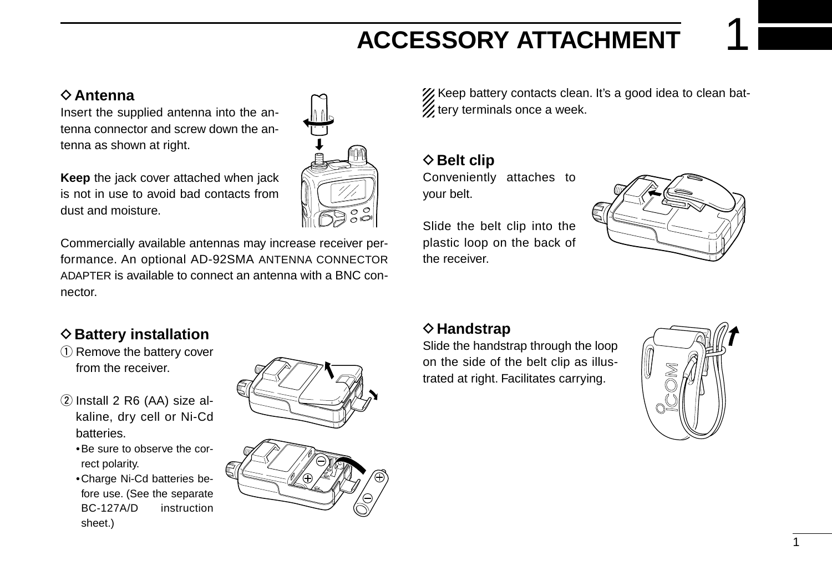## **ACCESSORY ATTACHMENT**

### **♦ Antenna**

Insert the supplied antenna into the antenna connector and screw down the antenna as shown at right.

**Keep** the jack cover attached when jack is not in use to avoid bad contacts from dust and moisture.



Commercially available antennas may increase receiver performance. An optional AD-92SMA ANTENNA CONNECTOR ADAPTER is available to connect an antenna with a BNC connector.

### $\diamond$  Battery installation

- $(i)$  Remove the battery cover from the receiver.
- $(2)$  Install 2 R6 (AA) size alkaline, dry cell or Ni-Cd batteries.
	- •Be sure to observe the correct polarity.
	- •Charge Ni-Cd batteries before use. (See the separate BC-127A/D instruction sheet.)



XX Keep battery contacts clean. It's a good idea to clean bat- $\mathscr U$  tery terminals once a week.

**◇ Belt clip** 

Conveniently attaches to your belt.

Slide the belt clip into the plastic loop on the back of the receiver.



### **◇ Handstrap**

Slide the handstrap through the loop on the side of the belt clip as illustrated at right. Facilitates carrying.

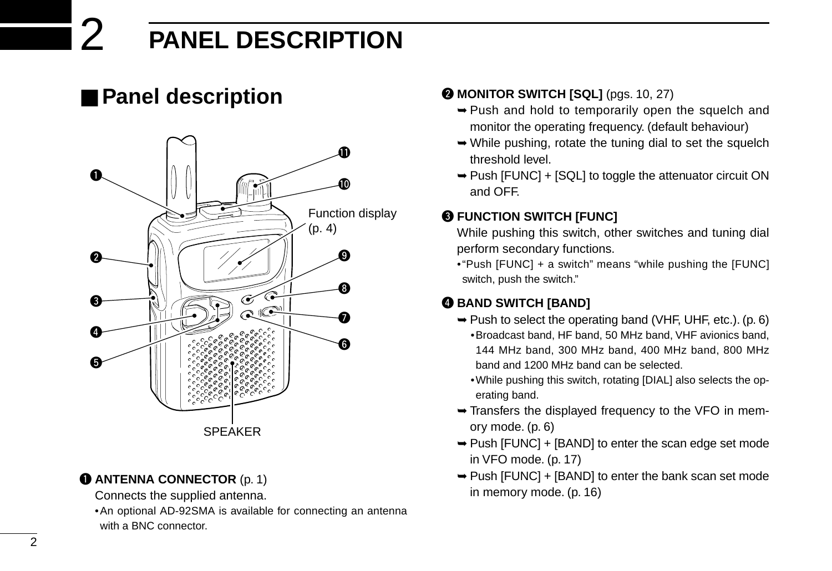## 2 **PANEL DESCRIPTION**

## ■ **Panel description**



### **Q ANTENNA CONNECTOR** (p. 1)

- Connects the supplied antenna.
- •An optional AD-92SMA is available for connecting an antenna with a BNC connector.

### **@ MONITOR SWITCH [SQL]** (pgs. 10, 27)

- ➥Push and hold to temporarily open the squelch and monitor the operating frequency. (default behaviour)
- ➥While pushing, rotate the tuning dial to set the squelch threshold level.
- ➥Push [FUNC] + [SQL] to toggle the attenuator circuit ON and OFF.

### **@ FUNCTION SWITCH [FUNC]**

While pushing this switch, other switches and tuning dial perform secondary functions.

•"Push [FUNC] + a switch" means "while pushing the [FUNC] switch, push the switch."

### **@ BAND SWITCH [BAND]**

- ➥Push to select the operating band (VHF, UHF, etc.). (p. 6)
	- •Broadcast band, HF band, 50 MHz band, VHF avionics band, 144 MHz band, 300 MHz band, 400 MHz band, 800 MHz band and 1200 MHz band can be selected.
	- •While pushing this switch, rotating [DIAL] also selects the operating band.
- ➥Transfers the displayed frequency to the VFO in memory mode. (p. 6)
- ➥Push [FUNC] + [BAND] to enter the scan edge set mode in VFO mode. (p. 17)
- ➥Push [FUNC] + [BAND] to enter the bank scan set mode in memory mode. (p. 16)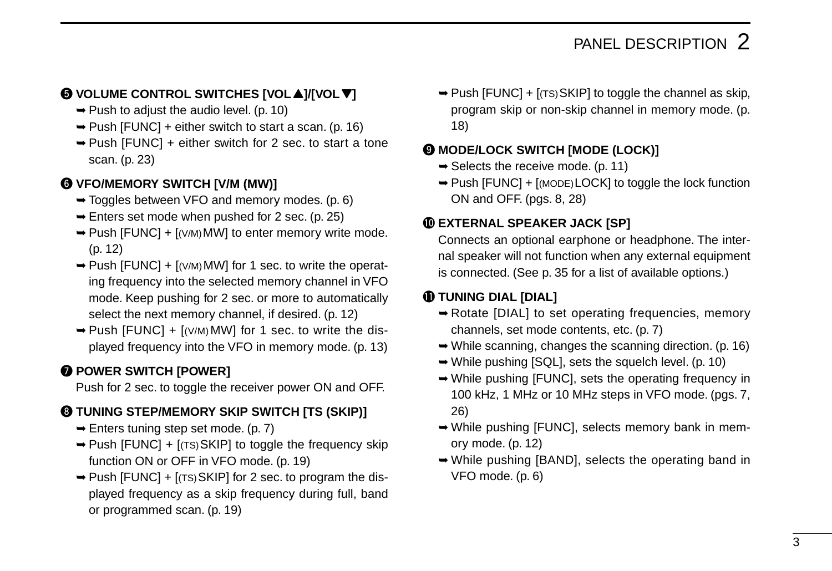### $\bigcirc$  VOLUME CONTROL SWITCHES [VOL▲]/[VOL▼]

- $\rightarrow$  Push to adjust the audio level. (p. 10)
- $\rightarrow$  Push [FUNC] + either switch to start a scan. (p. 16)
- ➥Push [FUNC] + either switch for 2 sec. to start a tone scan. (p. 23)

### **@ VFO/MEMORY SWITCH [V/M (MW)]**

- ➥Toggles between VFO and memory modes. (p. 6)
- $\rightarrow$  Enters set mode when pushed for 2 sec. (p. 25)
- $\rightarrow$  Push [FUNC] + [(V/M) MW] to enter memory write mode. (p. 12)
- $\rightarrow$  Push [FUNC] + [(V/M) MW] for 1 sec. to write the operating frequency into the selected memory channel in VFO mode. Keep pushing for 2 sec. or more to automatically select the next memory channel, if desired. (p. 12)
- $\rightarrow$  Push [FUNC] + [(V/M) MW] for 1 sec. to write the displayed frequency into the VFO in memory mode. (p. 13)

### **Q POWER SWITCH [POWER]**

Push for 2 sec. to toggle the receiver power ON and OFF.

### **@ TUNING STEP/MEMORY SKIP SWITCH [TS (SKIP)]**

- $\rightarrow$  Enters tuning step set mode. (p. 7)
- $\rightarrow$  Push [FUNC] + [(TS) SKIP] to toggle the frequency skip function ON or OFF in VFO mode. (p. 19)
- $\rightarrow$  Push [FUNC] + [(TS) SKIP] for 2 sec. to program the displayed frequency as a skip frequency during full, band or programmed scan. (p. 19)

 $\rightarrow$  Push [FUNC] + [(TS) SKIP] to toggle the channel as skip, program skip or non-skip channel in memory mode. (p. 18)

### o **MODE/LOCK SWITCH [MODE (LOCK)]**

- $\rightarrow$  Selects the receive mode. (p. 11)
- ➥Push [FUNC] + [(MODE)LOCK] to toggle the lock function ON and OFF. (pgs. 8, 28)

### !0**EXTERNAL SPEAKER JACK [SP]**

Connects an optional earphone or headphone. The internal speaker will not function when any external equipment is connected. (See p. 35 for a list of available options.)

### **10 TUNING DIAL [DIAL]**

- ➥Rotate [DIAL] to set operating frequencies, memory channels, set mode contents, etc. (p. 7)
- ➥While scanning, changes the scanning direction. (p. 16)
- ➥While pushing [SQL], sets the squelch level. (p. 10)
- ➥While pushing [FUNC], sets the operating frequency in 100 kHz, 1 MHz or 10 MHz steps in VFO mode. (pgs. 7, 26)
- ➥While pushing [FUNC], selects memory bank in memory mode. (p. 12)
- ➥While pushing [BAND], selects the operating band in VFO mode. (p. 6)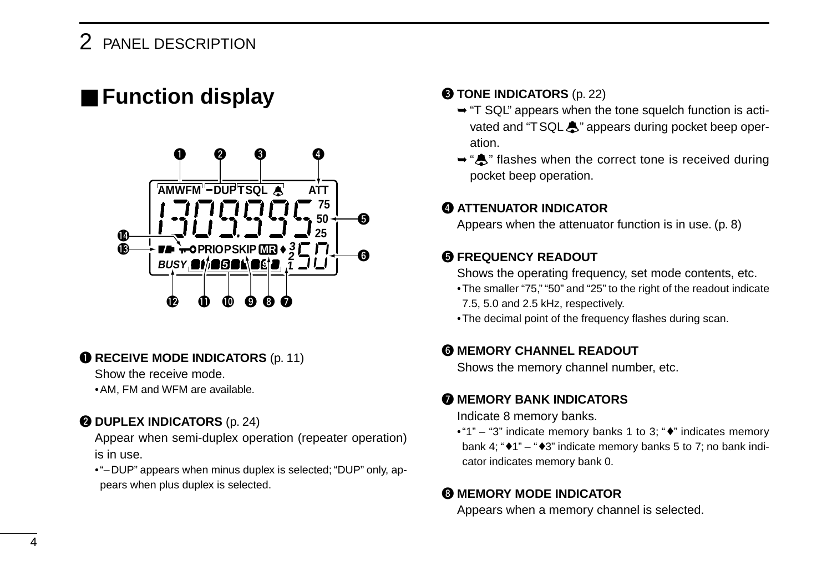### 2 PANEL DESCRIPTION

## ■ Function display



### **Q RECEIVE MODE INDICATORS** (p. 11)

Show the receive mode.

•AM, FM and WFM are available.

### **@ DUPLEX INDICATORS** (p. 24)

Appear when semi-duplex operation (repeater operation) is in use.

•"–DUP" appears when minus duplex is selected; "DUP" only, appears when plus duplex is selected.

#### **@ TONE INDICATORS** (p. 22)

- ➥"T SQL" appears when the tone squelch function is activated and "TSQL $\clubsuit$ " appears during pocket beep operation.
- ➥"ë" flashes when the correct tone is received during pocket beep operation.

### **@ ATTENUATOR INDICATOR**

Appears when the attenuator function is in use. (p. 8)

### **6 FREQUENCY READOUT**

Shows the operating frequency, set mode contents, etc.

- •The smaller "75," "50" and "25" to the right of the readout indicate 7.5, 5.0 and 2.5 kHz, respectively.
- •The decimal point of the frequency flashes during scan.

### **@ MEMORY CHANNEL READOUT**

Shows the memory channel number, etc.

### **MEMORY BANK INDICATORS**

Indicate 8 memory banks.

•"1" – "3" indicate memory banks 1 to 3; "♦" indicates memory bank 4; " $\blacktriangleright$  1" – " $\blacktriangleright$  3" indicate memory banks 5 to 7; no bank indicator indicates memory bank 0.

### **@ MEMORY MODE INDICATOR**

Appears when a memory channel is selected.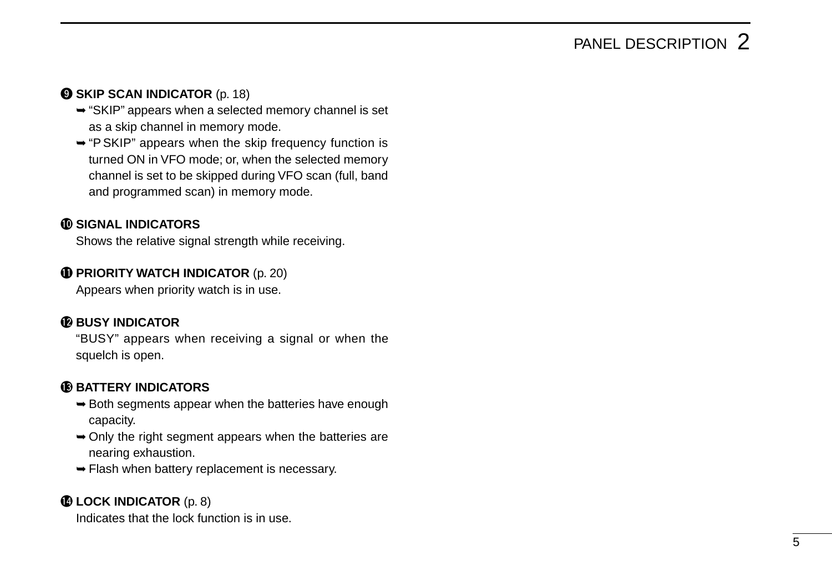## PANEL DESCRIPTION 2

### **O SKIP SCAN INDICATOR** (p. 18)

- ➥"SKIP" appears when a selected memory channel is set as a skip channel in memory mode.
- ➥"P SKIP" appears when the skip frequency function is turned ON in VFO mode; or, when the selected memory channel is set to be skipped during VFO scan (full, band and programmed scan) in memory mode.

### !0**SIGNAL INDICATORS**

Shows the relative signal strength while receiving.

### **1** PRIORITY WATCH INDICATOR (p. 20)

Appears when priority watch is in use.

### **12 BUSY INDICATOR**

"BUSY" appears when receiving a signal or when the squelch is open.

### **6BATTERY INDICATORS**

- $\rightarrow$  Both segments appear when the batteries have enough capacity.
- ➥Only the right segment appears when the batteries are nearing exhaustion.
- ➥Flash when battery replacement is necessary.

### **1LOCK INDICATOR** (p. 8)

Indicates that the lock function is in use.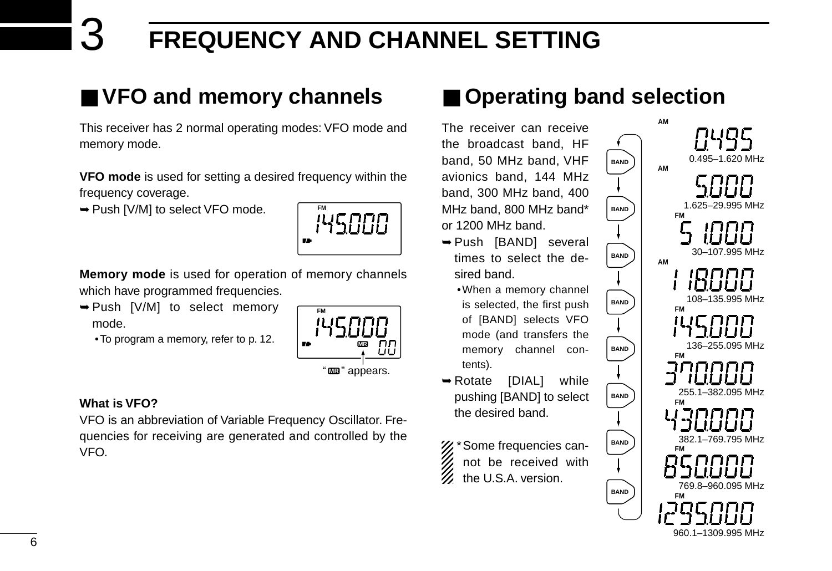## 3 **FREQUENCY AND CHANNEL SETTING**

## ■ **VFO and memory channels**

This receiver has 2 normal operating modes: VFO mode and memory mode.

**VFO mode** is used for setting a desired frequency within the frequency coverage.

➥Push [V/M] to select VFO mode.



**Memory mode** is used for operation of memory channels which have programmed frequencies.

- ➥Push [V/M] to select memory mode.
	- •To program a memory, refer to p. 12.



### **What is VFO?**

VFO is an abbreviation of Variable Frequency Oscillator. Frequencies for receiving are generated and controlled by the VFO.

## ■ **Operating band selection**

**BAND**

**BAND**

**BAND**

**BAND**

**BAND**

**BAND**

**BAND**

**BAND**

The receiver can receive the broadcast band, HF band, 50 MHz band, VHF avionics band, 144 MHz band, 300 MHz band, 400 MHz band, 800 MHz band\* or 1200 MHz band.

- ➥Push [BAND] several times to select the desired band.
	- •When a memory channel is selected, the first push of [BAND] selects VFO mode (and transfers the memory channel contents).
- ➥Rotate [DIAL] while pushing [BAND] to select the desired band.

%\* Some frequencies can-

- not be received with
- the U.S.A. version.

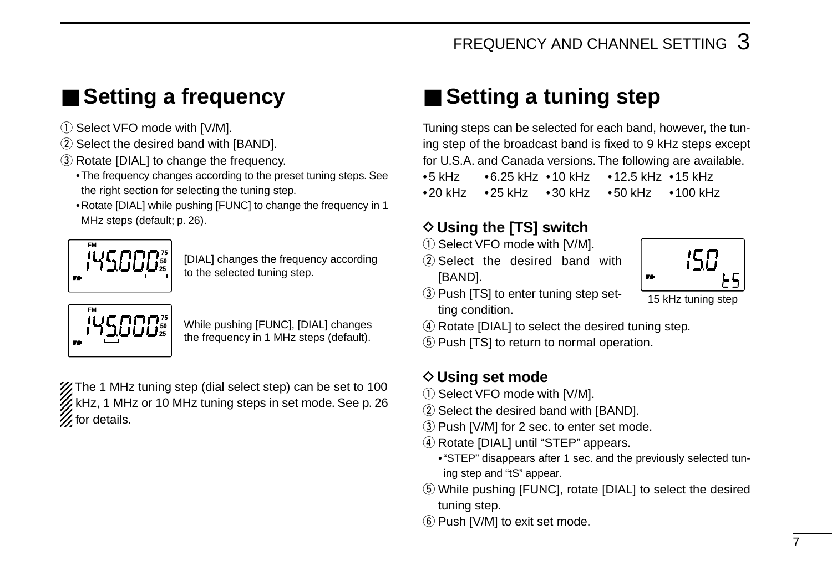## ■ **Setting a frequency**

- 1) Select VFO mode with [V/M].
- 2 Select the desired band with [BAND].
- 3 Rotate [DIAL] to change the frequency.
	- •The frequency changes according to the preset tuning steps. See the right section for selecting the tuning step.
	- •Rotate [DIAL] while pushing [FUNC] to change the frequency in 1 MHz steps (default; p. 26).



[DIAL] changes the frequency according to the selected tuning step.



While pushing [FUNC], [DIAL] changes the frequency in 1 MHz steps (default).

X The 1 MHz tuning step (dial select step) can be set to 100 kHz, 1 MHz or 10 MHz tuning steps in set mode. See p. 26  $\mathscr{U}$  for details.

## ■ Setting a tuning step

Tuning steps can be selected for each band, however, the tuning step of the broadcast band is fixed to 9 kHz steps except for U.S.A. and Canada versions. The following are available.

•5 kHz •6.25 kHz •10 kHz •12.5 kHz •15 kHz •20 kHz •25 kHz •30 kHz •50 kHz •100 kHz

### **♦ Using the [TS] switch**

- $(i)$  Select VFO mode with [V/M].
- $(2)$  Select the desired band with [BAND].
- 3) Push [TS] to enter tuning step setting condition.
- 78

15 kHz tuning step

(4) Rotate [DIAL] to select the desired tuning step.

(5) Push [TS] to return to normal operation.

### **◇ Using set mode**

- $(i)$  Select VFO mode with [V/M].
- 2 Select the desired band with [BAND].
- 3) Push [V/M] for 2 sec. to enter set mode.
- 4) Rotate [DIAL] until "STEP" appears.
	- •"STEP" disappears after 1 sec. and the previously selected tuning step and "tS" appear.
- (5) While pushing [FUNC], rotate [DIAL] to select the desired tuning step.
- $(6)$  Push [V/M] to exit set mode.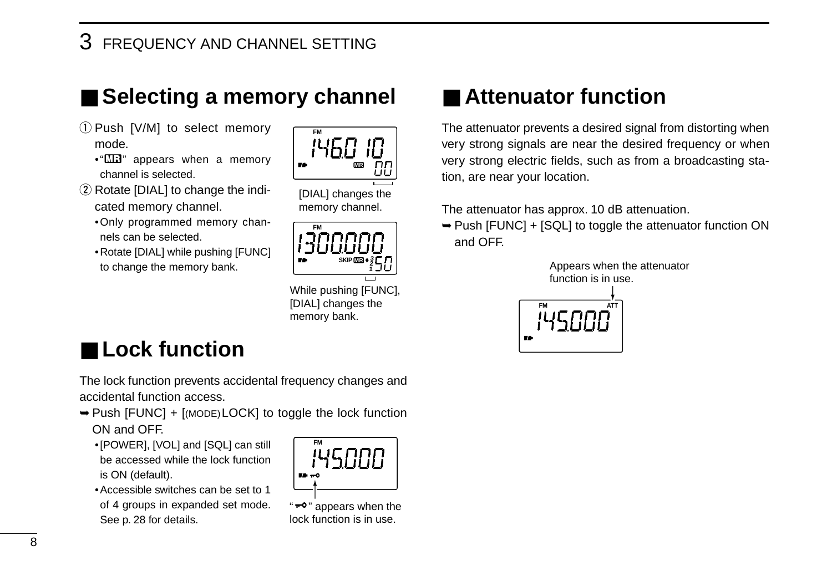3 FREQUENCY AND CHANNEL SETTING

## ■ Selecting a memory channel

- 1) Push [V/M] to select memory mode.
	- $\cdot$ " $\Box$  appears when a memory channel is selected.
- $(2)$  Rotate [DIAL] to change the indicated memory channel.
	- •Only programmed memory channels can be selected.
	- •Rotate [DIAL] while pushing [FUNC] to change the memory bank.



[DIAL] changes the memory channel.



While pushing [FUNC], [DIAL] changes the memory bank.

## ■ **Lock function**

The lock function prevents accidental frequency changes and accidental function access.

- ➥Push [FUNC] + [(MODE)LOCK] to toggle the lock function ON and OFF.
	- •[POWER], [VOL] and [SQL] can still be accessed while the lock function is ON (default).
	- •Accessible switches can be set to 1 of 4 groups in expanded set mode. See p. 28 for details.



#### " $-$ °" appears when the lock function is in use.

## ■ **Attenuator function**

The attenuator prevents a desired signal from distorting when very strong signals are near the desired frequency or when very strong electric fields, such as from a broadcasting station, are near your location.

The attenuator has approx. 10 dB attenuation.

➥Push [FUNC] + [SQL] to toggle the attenuator function ON and OFF.

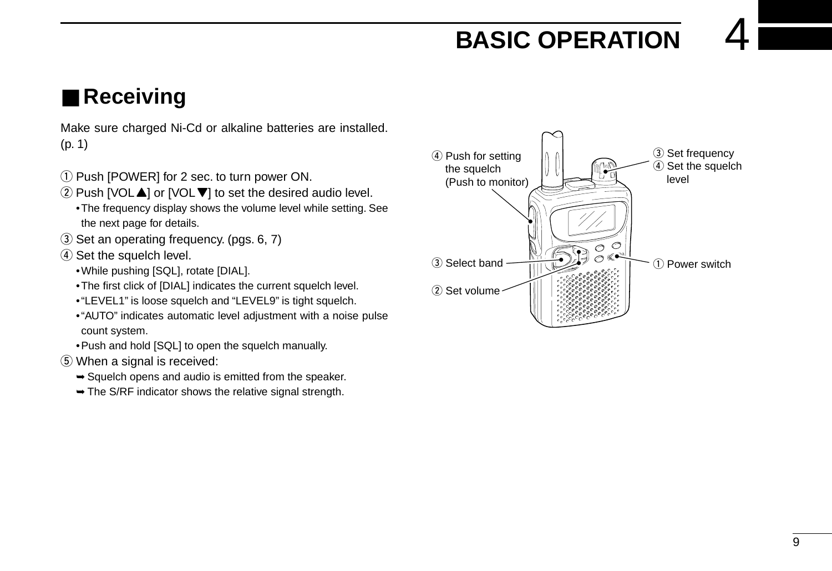## **BASIC OPERATION**

## ■ **Receiving**

Make sure charged Ni-Cd or alkaline batteries are installed. (p. 1)

- $\Omega$  Push [POWER] for 2 sec. to turn power ON.
- $(2)$  Push [VOL $\blacktriangle$ ] or [VOL $\nabla$ ] to set the desired audio level.
	- •The frequency display shows the volume level while setting. See the next page for details.
- 3) Set an operating frequency. (pgs. 6, 7)
- 4) Set the squelch level.
	- •While pushing [SQL], rotate [DIAL].
	- •The first click of [DIAL] indicates the current squelch level.
	- •"LEVEL1" is loose squelch and "LEVEL9" is tight squelch.
	- •"AUTO" indicates automatic level adjustment with a noise pulse count system.
	- •Push and hold [SQL] to open the squelch manually.
- **5** When a signal is received:
	- $\rightarrow$  **Squelch opens and audio is emitted from the speaker.**
	- $\rightarrow$  The S/RF indicator shows the relative signal strength.

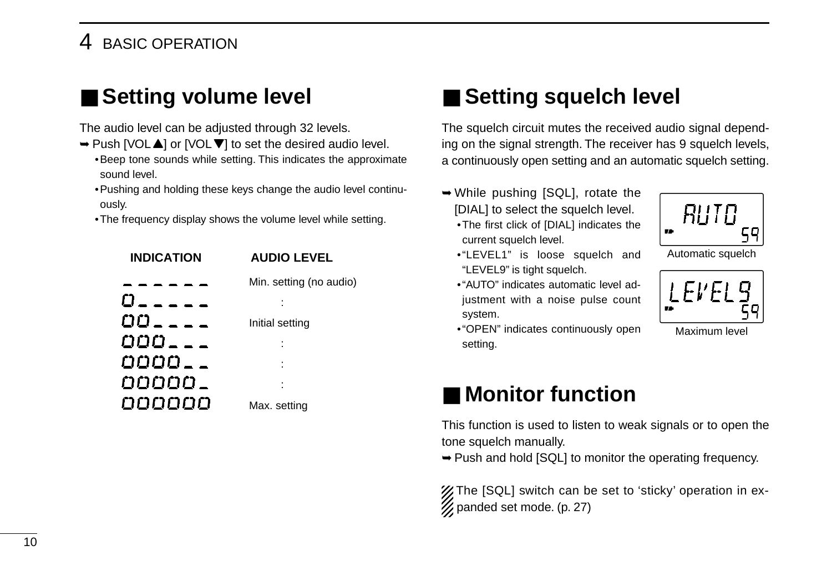### 4 BASIC OPERATION

## ■ Setting volume level

The audio level can be adjusted through 32 levels.

- $\rightarrow$  **Push [VOL▲] or [VOL▼] to set the desired audio level.** •Beep tone sounds while setting. This indicates the approximate sound level.
	- •Pushing and holding these keys change the audio level continuously.
	- •The frequency display shows the volume level while setting.



## ■ **Setting squelch level**

The squelch circuit mutes the received audio signal depending on the signal strength. The receiver has 9 squelch levels, a continuously open setting and an automatic squelch setting.

- ➥While pushing [SQL], rotate the [DIAL] to select the squelch level.
	- •The first click of [DIAL] indicates the current squelch level.
	- •"LEVEL1" is loose squelch and "LEVEL9" is tight squelch.
	- •"AUTO" indicates automatic level adjustment with a noise pulse count system.
	- •"OPEN" indicates continuously open setting.



Automatic squelch



Maximum level

## ■ Monitor function

This function is used to listen to weak signals or to open the tone squelch manually.

➥Push and hold [SQL] to monitor the operating frequency.

The [SQL] switch can be set to 'sticky' operation in ex- $\mathscr{D}$  panded set mode. (p. 27)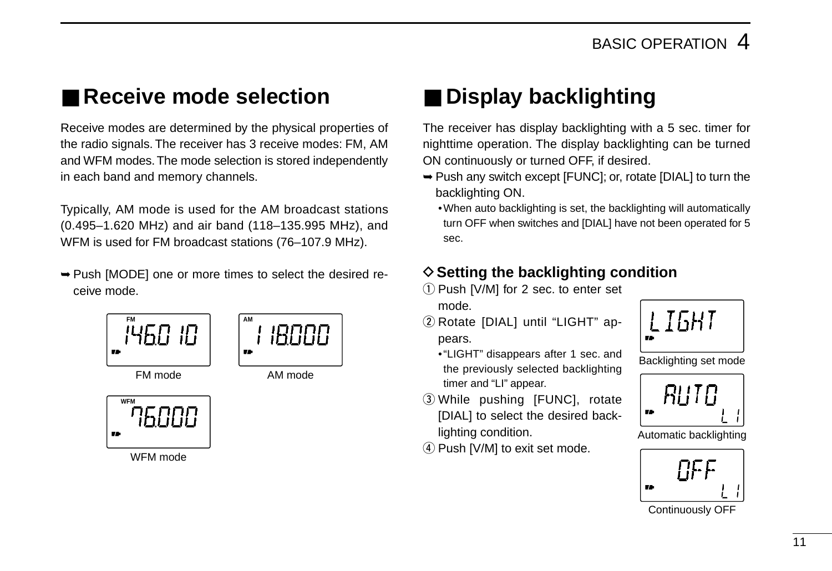## ■ **Receive mode selection**

Receive modes are determined by the physical properties of the radio signals. The receiver has 3 receive modes: FM, AM and WFM modes. The mode selection is stored independently in each band and memory channels.

Typically, AM mode is used for the AM broadcast stations (0.495–1.620 MHz) and air band (118–135.995 MHz), and WFM is used for FM broadcast stations (76–107.9 MHz).

➥Push [MODE] one or more times to select the desired receive mode.



WFM mode

## ■ **Display backlighting**

The receiver has display backlighting with a 5 sec. timer for nighttime operation. The display backlighting can be turned ON continuously or turned OFF, if desired.

- ➥Push any switch except [FUNC]; or, rotate [DIAL] to turn the backlighting ON.
	- •When auto backlighting is set, the backlighting will automatically turn OFF when switches and [DIAL] have not been operated for 5 sec.

### **♦ Setting the backlighting condition**

- $(i)$  Push [V/M] for 2 sec. to enter set mode.
- 2 Rotate [DIAL] until "LIGHT" appears.
	- •"LIGHT" disappears after 1 sec. and the previously selected backlighting timer and "LI" appear.
- 3) While pushing [FUNC], rotate [DIAL] to select the desired backlighting condition.
- $\overline{4}$  Push [V/M] to exit set mode.



Backlighting set mode



Automatic backlighting



Continuously OFF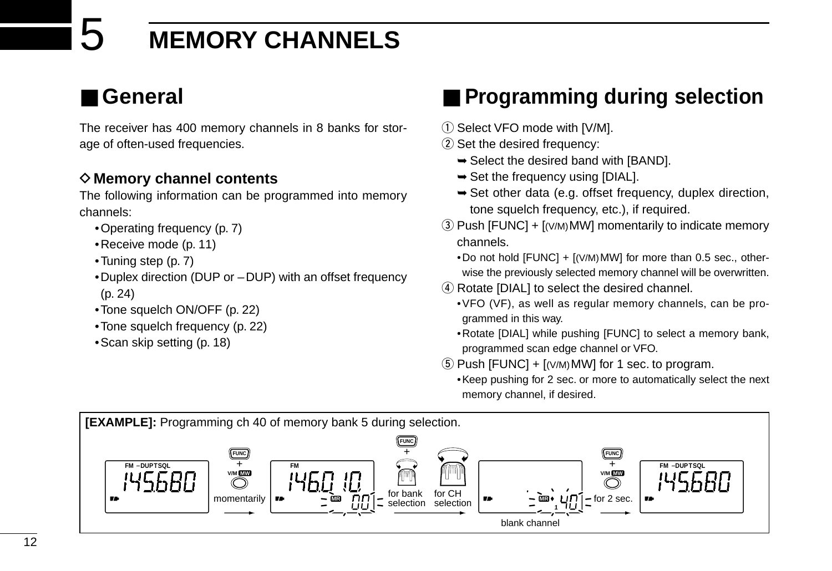## 5 **MEMORY CHANNELS**

## ■ **General**

The receiver has 400 memory channels in 8 banks for storage of often-used frequencies.

### **◇ Memory channel contents**

The following information can be programmed into memory channels:

- •Operating frequency (p. 7)
- •Receive mode (p. 11)
- •Tuning step (p. 7)
- •Duplex direction (DUP or –DUP) with an offset frequency (p. 24)
- •Tone squelch ON/OFF (p. 22)
- •Tone squelch frequency (p. 22)
- •Scan skip setting (p. 18)

## ■ **Programming during selection**

- 1) Select VFO mode with [V/M].
- 2 Set the desired frequency:
	- $\rightarrow$  **Select the desired band with [BAND].**
	- $\rightarrow$  **Set the frequency using [DIAL].**
	- ➥Set other data (e.g. offset frequency, duplex direction, tone squelch frequency, etc.), if required.
- $\circled{3}$  Push [FUNC] + [(V/M) MW] momentarily to indicate memory channels.

•Do not hold  $[FUNCTION] + [(V/M) MW]$  for more than 0.5 sec., otherwise the previously selected memory channel will be overwritten.

- (4) Rotate [DIAL] to select the desired channel.
	- •VFO (VF), as well as regular memory channels, can be programmed in this way.
	- •Rotate [DIAL] while pushing [FUNC] to select a memory bank, programmed scan edge channel or VFO.
- $5$  Push [FUNC] +  $[(V/M)MW]$  for 1 sec. to program.
	- •Keep pushing for 2 sec. or more to automatically select the next memory channel, if desired.

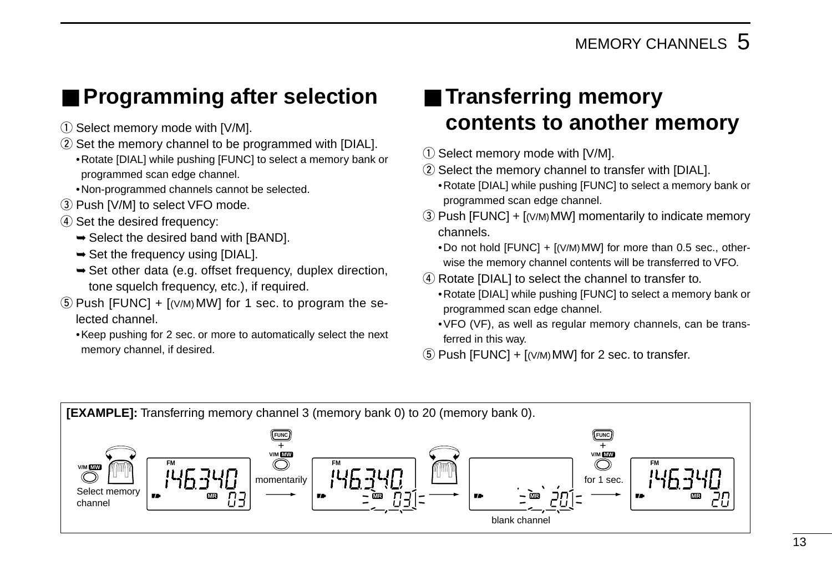## ■ **Programming after selection**

- $\circled{1}$  Select memory mode with [V/M].
- $(2)$  Set the memory channel to be programmed with [DIAL]. •Rotate [DIAL] while pushing [FUNC] to select a memory bank or programmed scan edge channel.
	- •Non-programmed channels cannot be selected.
- 3) Push [V/M] to select VFO mode.
- 4) Set the desired frequency:
	- $\rightarrow$  **Select the desired band with [BAND].**
	- $\rightarrow$  Set the frequency using [DIAL].
	- ➥Set other data (e.g. offset frequency, duplex direction, tone squelch frequency, etc.), if required.
- $\circled{5}$  Push [FUNC] + [(V/M) MW] for 1 sec. to program the selected channel.
	- •Keep pushing for 2 sec. or more to automatically select the next memory channel, if desired.

## ■ **Transferring memory contents to another memory**

- $\circled{1}$  Select memory mode with [V/M].
- 2 Select the memory channel to transfer with [DIAL].
	- •Rotate [DIAL] while pushing [FUNC] to select a memory bank or programmed scan edge channel.
- $\overline{a}$ ) Push [FUNC] + [(V/M)MW] momentarily to indicate memory channels.
	- •Do not hold [FUNC] + [(V/M)MW] for more than 0.5 sec., otherwise the memory channel contents will be transferred to VFO.
- 4) Rotate [DIAL] to select the channel to transfer to.
	- •Rotate [DIAL] while pushing [FUNC] to select a memory bank or programmed scan edge channel.
	- •VFO (VF), as well as regular memory channels, can be transferred in this way.
- $(5)$  Push [FUNC] +  $[(V/M)$ MW] for 2 sec. to transfer.

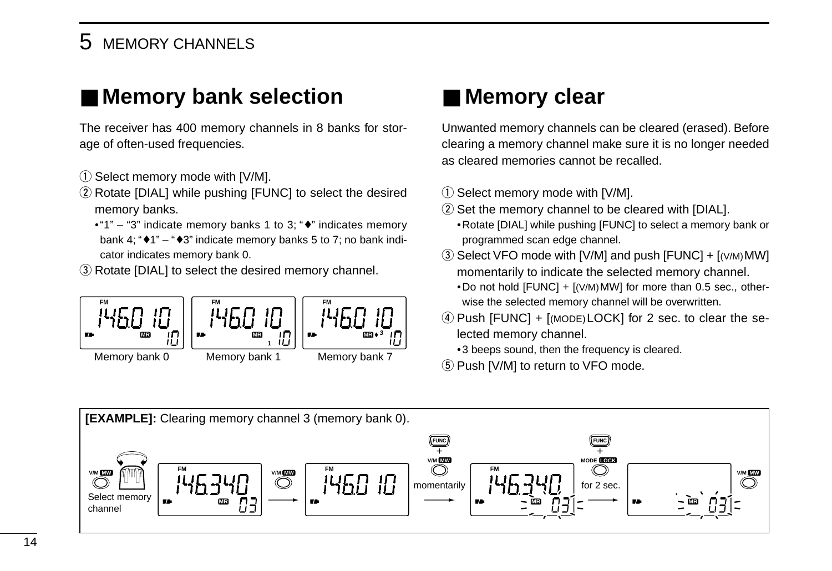### 5 MEMORY CHANNELS

## ■ Memory bank selection

The receiver has 400 memory channels in 8 banks for storage of often-used frequencies.

- $\circled{1}$  Select memory mode with [V/M].
- 2 Rotate [DIAL] while pushing [FUNC] to select the desired memory banks.
	- •"1" "3" indicate memory banks 1 to 3; "♦" indicates memory bank 4; " $\bullet$  1" – " $\bullet$  3" indicate memory banks 5 to 7; no bank indicator indicates memory bank 0.
- 3) Rotate [DIAL] to select the desired memory channel.



## ■ Memory clear

Unwanted memory channels can be cleared (erased). Before clearing a memory channel make sure it is no longer needed as cleared memories cannot be recalled.

- 1) Select memory mode with [V/M].
- $(2)$  Set the memory channel to be cleared with [DIAL]. •Rotate [DIAL] while pushing [FUNC] to select a memory bank or programmed scan edge channel.
- $\ddot{\text{e}}$  Select VFO mode with [V/M] and push [FUNC] + [(V/M) MW] momentarily to indicate the selected memory channel.
	- •Do not hold  $[FUNCTION] + [(V/M) MW]$  for more than 0.5 sec., otherwise the selected memory channel will be overwritten.
- $\overline{a}$ ) Push [FUNC] + [(MODE) LOCK] for 2 sec. to clear the selected memory channel.
	- •3 beeps sound, then the frequency is cleared.
- **5** Push [V/M] to return to VFO mode.

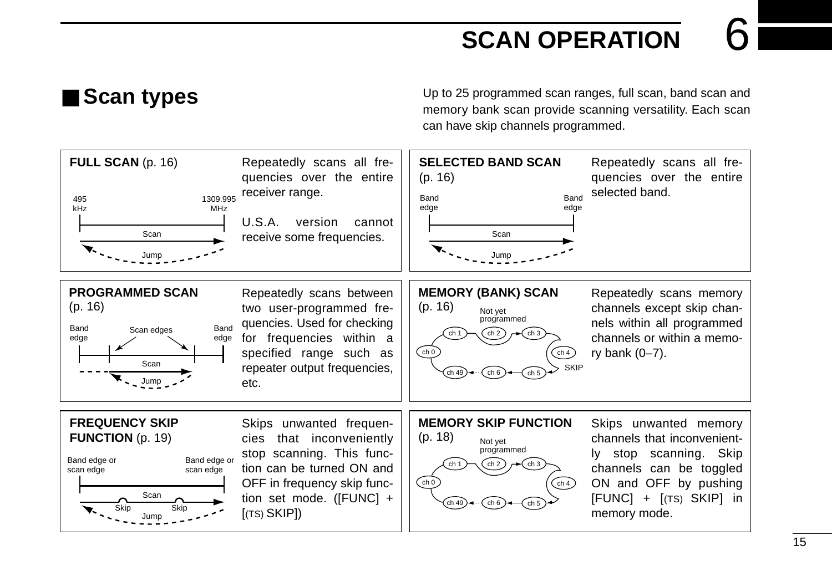## **SCAN OPERATION**

■ Scan types Up to 25 programmed scan ranges, full scan, band scan and memory bank scan provide scanning versatility. Each scan can have skip channels programmed.

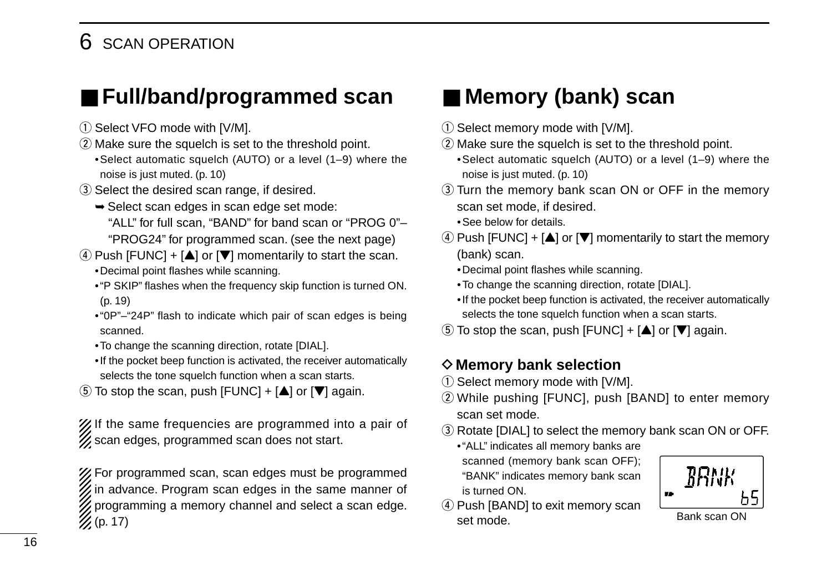## 6 SCAN OPERATION

## ■ Full/band/programmed scan

- 1) Select VFO mode with [V/M].
- (2) Make sure the squelch is set to the threshold point.
- •Select automatic squelch (AUTO) or a level (1–9) where the noise is just muted. (p. 10)
- (3) Select the desired scan range, if desired.
	- ➥Select scan edges in scan edge set mode:
		- "ALL" for full scan, "BAND" for band scan or "PROG 0"– "PROG24" for programmed scan. (see the next page)
- $\Phi$  Push [FUNC] + [ $\triangle$ ] or [ $\nabla$ ] momentarily to start the scan. •Decimal point flashes while scanning.
	- •"P SKIP" flashes when the frequency skip function is turned ON. (p. 19)
	- •"0P"–"24P" flash to indicate which pair of scan edges is being scanned.
	- •To change the scanning direction, rotate [DIAL].
	- •If the pocket beep function is activated, the receiver automatically selects the tone squelch function when a scan starts.
- $\ddot{\textbf{t}}$  To stop the scan, push [FUNC] + [ $\triangle$ ] or [ $\nabla$ ] again.

X If the same frequencies are programmed into a pair of  $\mathscr{U}$  scan edges, programmed scan does not start.

For programmed scan, scan edges must be programmed  $\mathscr U$  in advance. Program scan edges in the same manner of  $\mathbb Z$  programming a memory channel and select a scan edge.  $\mathscr{U}(p. 17)$ 

## ■ **Memory (bank) scan**

- 1) Select memory mode with [V/M].
- 2 Make sure the squelch is set to the threshold point.

•Select automatic squelch (AUTO) or a level (1–9) where the noise is just muted. (p. 10)

- 3) Turn the memory bank scan ON or OFF in the memory scan set mode, if desired.
	- •See below for details.
- $\Phi$  Push [FUNC] + [ $\blacktriangle$ ] or [ $\nabla$ ] momentarily to start the memory (bank) scan.
	- •Decimal point flashes while scanning.
	- •To change the scanning direction, rotate [DIAL].
	- •If the pocket beep function is activated, the receiver automatically selects the tone squelch function when a scan starts.
- $\ddot{\textbf{t}}$  To stop the scan, push [FUNC] + [ $\triangle$ ] or [ $\nabla$ ] again.

### **◇ Memory bank selection**

- $\circled{1}$  Select memory mode with [V/M].
- 2) While pushing [FUNC], push [BAND] to enter memory scan set mode.
- 3) Rotate [DIAL] to select the memory bank scan ON or OFF.
	- •"ALL" indicates all memory banks are scanned (memory bank scan OFF); "BANK" indicates memory bank scan is turned ON.
- (4) Push [BAND] to exit memory scan set mode. Bank scan ON

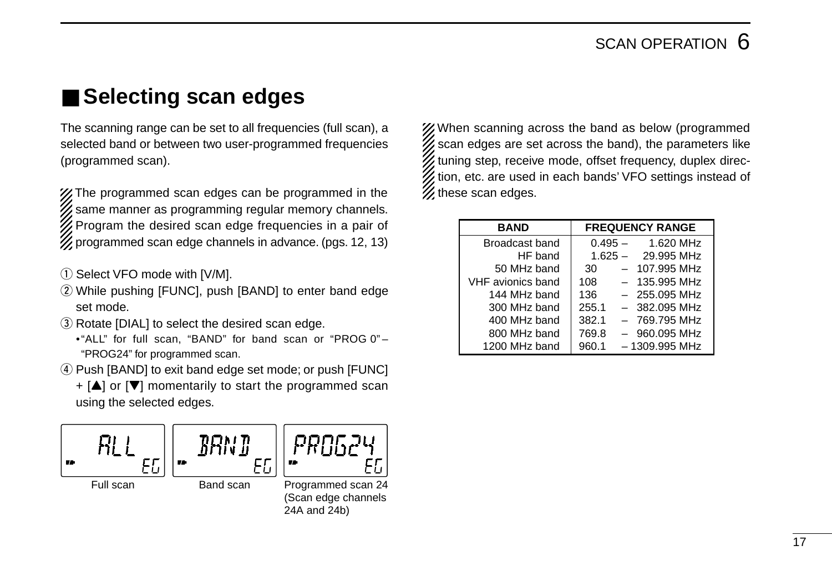## ■ Selecting scan edges

The scanning range can be set to all frequencies (full scan), a selected band or between two user-programmed frequencies (programmed scan).

X The programmed scan edges can be programmed in the same manner as programming regular memory channels. Program the desired scan edge frequencies in a pair of programmed scan edge channels in advance. (pgs. 12, 13)

- 1) Select VFO mode with [V/M].
- 2 While pushing [FUNC], push [BAND] to enter band edge set mode.
- 3) Rotate [DIAL] to select the desired scan edge.
	- •"ALL" for full scan, "BAND" for band scan or "PROG 0" "PROG24" for programmed scan.
- 4) Push [BAND] to exit band edge set mode; or push [FUNC]
	- $+$  [ $\triangle$ ] or [ $\nabla$ ] momentarily to start the programmed scan using the selected edges.



24A and 24b)

X/When scanning across the band as below (programmed  $\%$  scan edges are set across the band), the parameters like tuning step, receive mode, offset frequency, duplex direction, etc. are used in each bands' VFO settings instead of **Z** these scan edges.

| <b>BAND</b>       | <b>FREQUENCY RANGE</b>   |  |  |  |
|-------------------|--------------------------|--|--|--|
| Broadcast band    | $0.495 - 1.620$ MHz      |  |  |  |
| HF band           | 29.995 MHz<br>$1.625 -$  |  |  |  |
| 50 MHz band       | - 107.995 MHz<br>30      |  |  |  |
| VHF avionics band | 108<br>$-135.995$ MHz    |  |  |  |
| 144 MHz band      | 136<br>$-255.095$ MHz    |  |  |  |
| 300 MHz band      | 255.1<br>$-382.095$ MHz  |  |  |  |
| 400 MHz band      | 382.1<br>$-769.795$ MHz  |  |  |  |
| 800 MHz band      | 769.8<br>$-960.095$ MHz  |  |  |  |
| 1200 MHz band     | 960.1<br>$-1309.995$ MHz |  |  |  |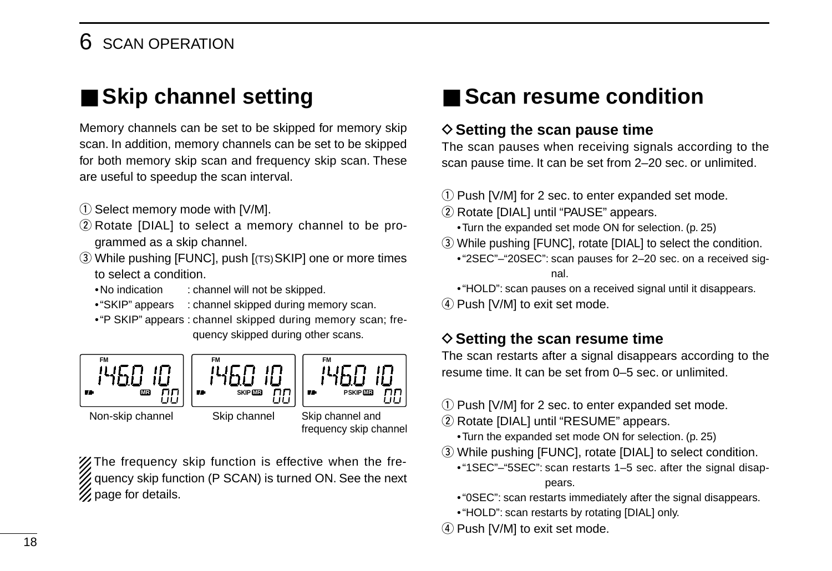## 6 SCAN OPERATION

## ■ **Skip channel setting**

Memory channels can be set to be skipped for memory skip scan. In addition, memory channels can be set to be skipped for both memory skip scan and frequency skip scan. These are useful to speedup the scan interval.

- $\circled{1}$  Select memory mode with [V/M].
- 2 Rotate [DIAL] to select a memory channel to be programmed as a skip channel.
- e While pushing [FUNC], push [(TS)SKIP] one or more times to select a condition.
	- •No indication : channel will not be skipped.
	- •"SKIP" appears : channel skipped during memory scan.
	- •"P SKIP" appears : channel skipped during memory scan; frequency skipped during other scans.







**FM**

```
Non-skip channel Skip channel Skip channel and
```
frequency skip channel

**Z/ The frequency skip function is effective when the fre**quency skip function (P SCAN) is turned ON. See the next  $\mathcal Z$  page for details.

## ■ **Scan resume condition**

### **♦ Setting the scan pause time**

The scan pauses when receiving signals according to the scan pause time. It can be set from 2–20 sec. or unlimited.

- $\Omega$  Push [V/M] for 2 sec. to enter expanded set mode.
- (2) Rotate [DIAL] until "PAUSE" appears.
	- •Turn the expanded set mode ON for selection. (p. 25)
- e While pushing [FUNC], rotate [DIAL] to select the condition.
	- •"2SEC"–"20SEC": scan pauses for 2–20 sec. on a received signal.
	- •"HOLD": scan pauses on a received signal until it disappears.
- (4) Push [V/M] to exit set mode.

### **♦ Setting the scan resume time**

The scan restarts after a signal disappears according to the resume time. It can be set from 0–5 sec. or unlimited.

- q Push [V/M] for 2 sec. to enter expanded set mode.
- 2 Rotate [DIAL] until "RESUME" appears.
	- •Turn the expanded set mode ON for selection. (p. 25)
- e While pushing [FUNC], rotate [DIAL] to select condition.
	- •"1SEC"–"5SEC": scan restarts 1–5 sec. after the signal disappears.
	- •"0SEC": scan restarts immediately after the signal disappears.
	- •"HOLD": scan restarts by rotating [DIAL] only.
- 4) Push [V/M] to exit set mode.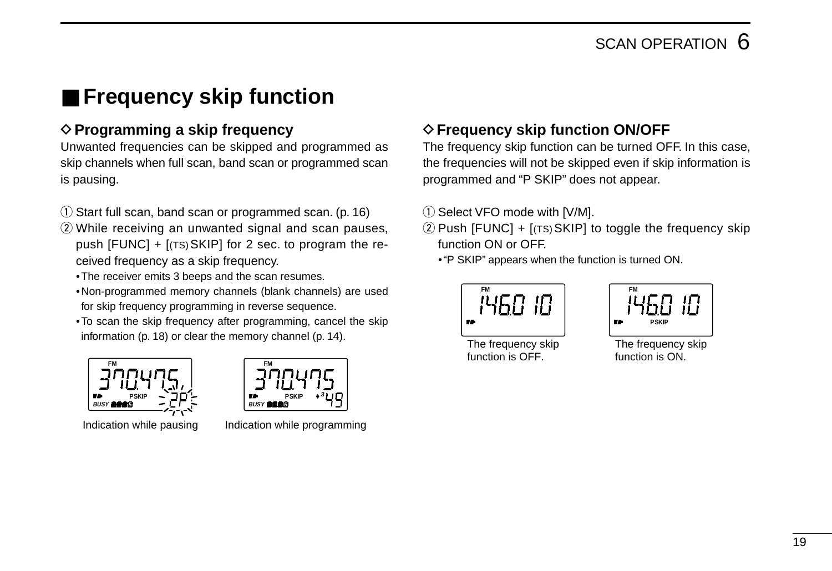## ■ **Frequency skip function**

### **◇ Programming a skip frequency**

Unwanted frequencies can be skipped and programmed as skip channels when full scan, band scan or programmed scan is pausing.

- $\circ$  Start full scan, band scan or programmed scan. (p. 16)
- $(2)$  While receiving an unwanted signal and scan pauses, push  $[FUNCTION] + [(TS) SKIP]$  for 2 sec. to program the received frequency as a skip frequency.
	- •The receiver emits 3 beeps and the scan resumes.
	- •Non-programmed memory channels (blank channels) are used for skip frequency programming in reverse sequence.
	- •To scan the skip frequency after programming, cancel the skip information (p. 18) or clear the memory channel (p. 14).



**PSKIP BUSY 5 3**

**FM**

Indication while pausing lndication while programming

### **♦ Frequency skip function ON/OFF**

The frequency skip function can be turned OFF. In this case, the frequencies will not be skipped even if skip information is programmed and "P SKIP" does not appear.

- $(i)$  Select VFO mode with [V/M].
- $(2)$  Push [FUNC] + [(TS) SKIP] to toggle the frequency skip function ON or OFF.
	- •"P SKIP" appears when the function is turned ON.





The frequency skip function is OFF.

The frequency skip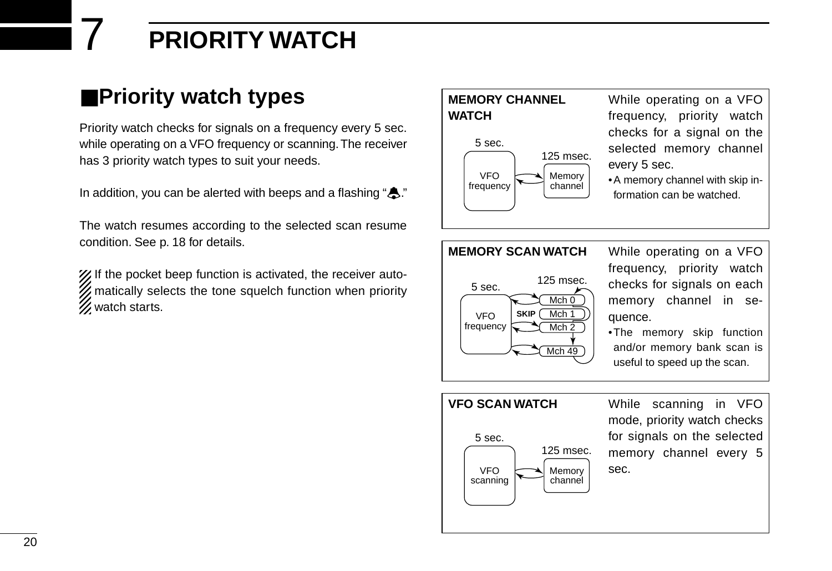## 7 **PRIORITY WATCH**

## ■**Priority watch types**

Priority watch checks for signals on a frequency every 5 sec. while operating on a VFO frequency or scanning. The receiver has 3 priority watch types to suit your needs.

In addition, you can be alerted with beeps and a flashing " $\clubsuit$ ."

The watch resumes according to the selected scan resume condition. See p. 18 for details.

X If the pocket beep function is activated, the receiver auto-**Z** matically selects the tone squelch function when priority **Z** watch starts.

### **MEMORY CHANNEL WATCH**



While operating on a VFO frequency, priority watch checks for a signal on the selected memory channel every 5 sec.

•A memory channel with skip information can be watched.



frequency, priority watch checks for signals on each memory channel in sequence.

•The memory skip function and/or memory bank scan is useful to speed up the scan.

#### **VFO SCAN WATCH** While scanning in VFO mode, priority watch checks for signals on the selected memory channel every 5 sec. VFO scanning Memory channel 5 sec. 125 msec.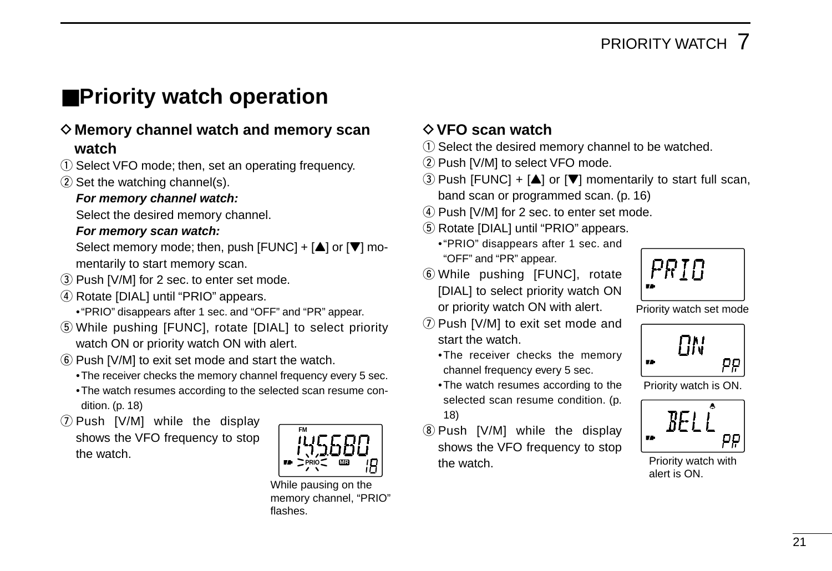## ■**Priority watch operation**

### D**Memory channel watch and memory scan watch**

- $\Omega$  Select VFO mode: then, set an operating frequency.
- $(2)$  Set the watching channel(s).

### **For memory channel watch:**

Select the desired memory channel.

#### **For memory scan watch:**

Select memory mode; then, push  $[FWC] + [\triangle]$  or  $[\triangledown]$  momentarily to start memory scan.

- 3) Push [V/M] for 2 sec. to enter set mode.
- **4**) Rotate [DIAL] until "PRIO" appears.
	- •"PRIO" disappears after 1 sec. and "OFF" and "PR" appear.
- **5**) While pushing [FUNC], rotate [DIAL] to select priority watch ON or priority watch ON with alert.
- $(6)$  Push [V/M] to exit set mode and start the watch.
	- •The receiver checks the memory channel frequency every 5 sec. •The watch resumes according to the selected scan resume condition. (p. 18)
- $\overline{O}$  Push [V/M] while the display shows the VFO frequency to stop the watch.



While pausing on the memory channel, "PRIO" flashes.

### D**VFO scan watch**

- $\Omega$  Select the desired memory channel to be watched.
- (2) Push [V/M] to select VFO mode.
- $\overline{a}$ ) Push [FUNC] + [ $\triangle$ ] or [ $\nabla$ ] momentarily to start full scan, band scan or programmed scan. (p. 16)
- $\overline{a}$  Push [V/M] for 2 sec. to enter set mode.
- (5) Rotate [DIAL] until "PRIO" appears.
	- •"PRIO" disappears after 1 sec. and "OFF" and "PR" appear.
- $\circledR$  While pushing [FUNC], rotate [DIAL] to select priority watch ON or priority watch ON with alert.
- $\circled{1}$  Push [V/M] to exit set mode and start the watch.
	- •The receiver checks the memory channel frequency every 5 sec.
	- •The watch resumes according to the selected scan resume condition. (p. 18)
- **8 Push [V/M] while the display** shows the VFO frequency to stop the watch.



Priority watch set mode



Priority watch is ON.



Priority watch with alert is ON.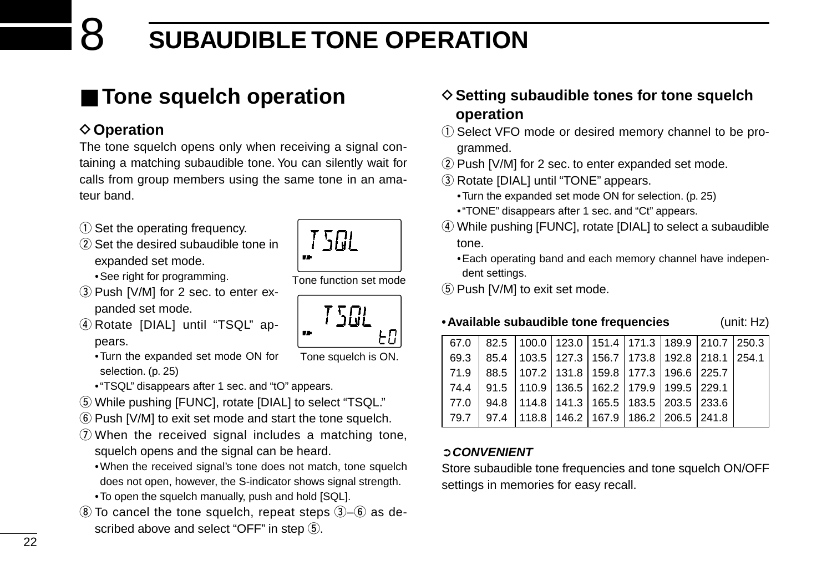## 8 **SUBAUDIBLE TONE OPERATION**

## ■ **Tone squelch operation**

### **♦ Operation**

The tone squelch opens only when receiving a signal containing a matching subaudible tone. You can silently wait for calls from group members using the same tone in an amateur band.

- $(i)$  Set the operating frequency.
- $(2)$  Set the desired subaudible tone in expanded set mode.

•See right for programming.

- 3) Push [V/M] for 2 sec. to enter expanded set mode.
- 4 Rotate [DIAL] until "TSQL" appears.
	- •Turn the expanded set mode ON for selection. (p. 25)
	- •"TSQL" disappears after 1 sec. and "tO" appears.
- (5) While pushing [FUNC], rotate [DIAL] to select "TSQL."
- $\circled{6}$  Push [V/M] to exit set mode and start the tone squelch.
- $\Omega$  When the received signal includes a matching tone, squelch opens and the signal can be heard.
	- •When the received signal's tone does not match, tone squelch does not open, however, the S-indicator shows signal strength.
	- •To open the squelch manually, push and hold [SQL].
- $\circledR$  To cancel the tone squelch, repeat steps  $\circledR$ – $\circledR$  as described above and select "OFF" in step  $(5)$ .

### **♦ Setting subaudible tones for tone squelch operation**

- (1) Select VFO mode or desired memory channel to be programmed.
- $(2)$  Push [V/M] for 2 sec. to enter expanded set mode.
- 3) Rotate [DIAL] until "TONE" appears.
	- •Turn the expanded set mode ON for selection. (p. 25)
	- •"TONE" disappears after 1 sec. and "Ct" appears.
- r While pushing [FUNC], rotate [DIAL] to select a subaudible tone.
	- •Each operating band and each memory channel have independent settings.
- **5** Push [V/M] to exit set mode.

### **•Available subaudible tone frequencies** (unit: Hz)

| 67.0 | $\vert$ 82.5   100.0   123.0   151.4   171.3   189.9   210.7   250.3 |  |  |  |
|------|----------------------------------------------------------------------|--|--|--|
|      | 69.3   85.4   103.5   127.3   156.7   173.8   192.8   218.1   254.1  |  |  |  |
|      | 71.9 88.5 107.2 131.8 159.8 177.3 196.6 225.7                        |  |  |  |
|      | 74.4   91.5   110.9   136.5   162.2   179.9   199.5   229.1          |  |  |  |
| 77.0 | 94.8   114.8   141.3   165.5   183.5   203.5   233.6                 |  |  |  |
| 79.7 | 97.4   118.8   146.2   167.9   186.2   206.5   241.8                 |  |  |  |
|      |                                                                      |  |  |  |

### ➲**CONVENIENT**

Store subaudible tone frequencies and tone squelch ON/OFF settings in memories for easy recall.



Tone function set mode

7 5*RI* 1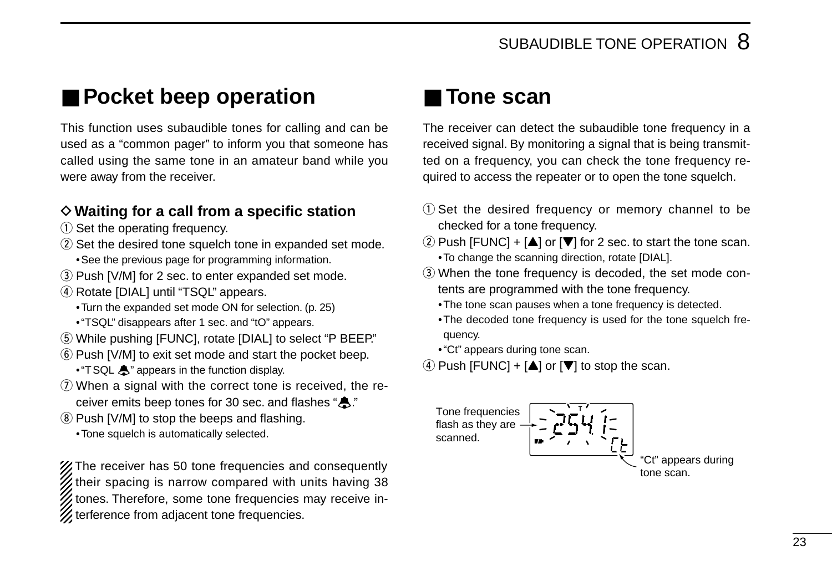## ■ **Pocket beep operation**

This function uses subaudible tones for calling and can be used as a "common pager" to inform you that someone has called using the same tone in an amateur band while you were away from the receiver.

### D**Waiting for a call from a specific station**

- $(i)$  Set the operating frequency.
- $(2)$  Set the desired tone squelch tone in expanded set mode. •See the previous page for programming information.
- 3 Push [V/M] for 2 sec. to enter expanded set mode.
- 4) Rotate [DIAL] until "TSQL" appears.
	- •Turn the expanded set mode ON for selection. (p. 25)
	- •"TSQL" disappears after 1 sec. and "tO" appears.
- (5) While pushing [FUNC], rotate [DIAL] to select "P BEEP."
- $(6)$  Push [V/M] to exit set mode and start the pocket beep.
	- "T SQL  $\clubsuit$ " appears in the function display.
- $\Omega$  When a signal with the correct tone is received, the receiver emits beep tones for 30 sec. and flashes " $\spadesuit$ ."
- (8) Push [V/M] to stop the beeps and flashing.
	- •Tone squelch is automatically selected.

XX The receiver has 50 tone frequencies and consequently their spacing is narrow compared with units having 38 tones. Therefore, some tone frequencies may receive interference from adjacent tone frequencies.

## ■ **Tone scan**

The receiver can detect the subaudible tone frequency in a received signal. By monitoring a signal that is being transmitted on a frequency, you can check the tone frequency required to access the repeater or to open the tone squelch.

- $Q$  Set the desired frequency or memory channel to be checked for a tone frequency.
- $\Omega$  Push [FUNC] + [ $\triangle$ ] or [ $\nabla$ ] for 2 sec. to start the tone scan. •To change the scanning direction, rotate [DIAL].
- 3) When the tone frequency is decoded, the set mode contents are programmed with the tone frequency.
	- •The tone scan pauses when a tone frequency is detected.
	- •The decoded tone frequency is used for the tone squelch frequency.
	- •"Ct" appears during tone scan.
- $\Phi$  Push [FUNC] + [ $\triangle$ ] or [ $\nabla$ ] to stop the scan.

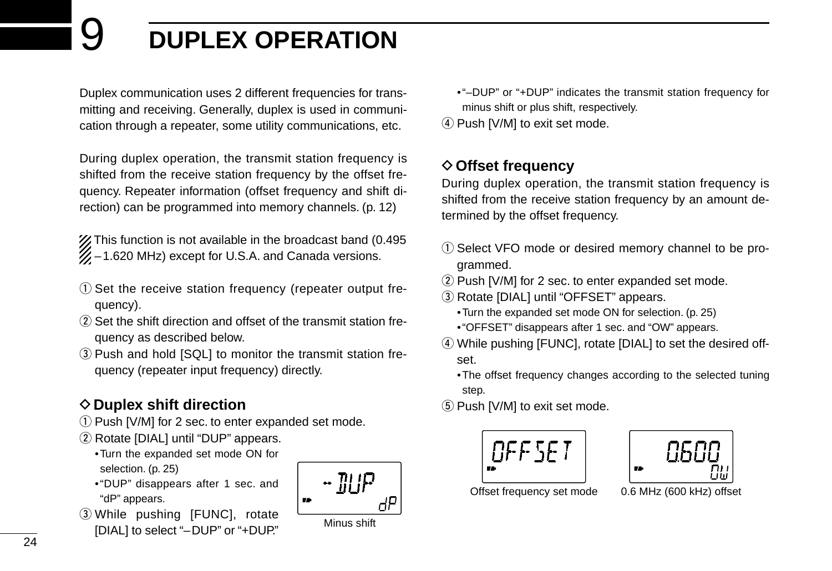## 9 **DUPLEX OPERATION**

Duplex communication uses 2 different frequencies for transmitting and receiving. Generally, duplex is used in communication through a repeater, some utility communications, etc.

During duplex operation, the transmit station frequency is shifted from the receive station frequency by the offset frequency. Repeater information (offset frequency and shift direction) can be programmed into memory channels. (p. 12)

X This function is not available in the broadcast band (0.495)  $\mathscr{U}$  –1.620 MHz) except for U.S.A. and Canada versions.

- $Q$  Set the receive station frequency (repeater output frequency).
- $\Omega$  Set the shift direction and offset of the transmit station frequency as described below.
- **3** Push and hold [SQL] to monitor the transmit station frequency (repeater input frequency) directly.

### **◇ Duplex shift direction**

- q Push [V/M] for 2 sec. to enter expanded set mode.
- 2 Rotate [DIAL] until "DUP" appears.
	- •Turn the expanded set mode ON for selection. (p. 25)
	- •"DUP" disappears after 1 sec. and "dP" appears.
- 3 While pushing [FUNC], rotate [DIAL] to select "–DUP" or "+DUP."



Minus shift

- •"–DUP" or "+DUP" indicates the transmit station frequency for minus shift or plus shift, respectively.
- (4) Push [V/M] to exit set mode.

### **◇ Offset frequency**

During duplex operation, the transmit station frequency is shifted from the receive station frequency by an amount determined by the offset frequency.

- q Select VFO mode or desired memory channel to be programmed.
- 2 Push [V/M] for 2 sec. to enter expanded set mode.
- **(3) Rotate [DIAL] until "OFFSET" appears.** 
	- •Turn the expanded set mode ON for selection. (p. 25)
	- •"OFFSET" disappears after 1 sec. and "OW" appears.
- (4) While pushing [FUNC], rotate [DIAL] to set the desired offset.
	- •The offset frequency changes according to the selected tuning step.
- **5** Push [V/M] to exit set mode.





Offset frequency set mode 0.6 MHz (600 kHz) offset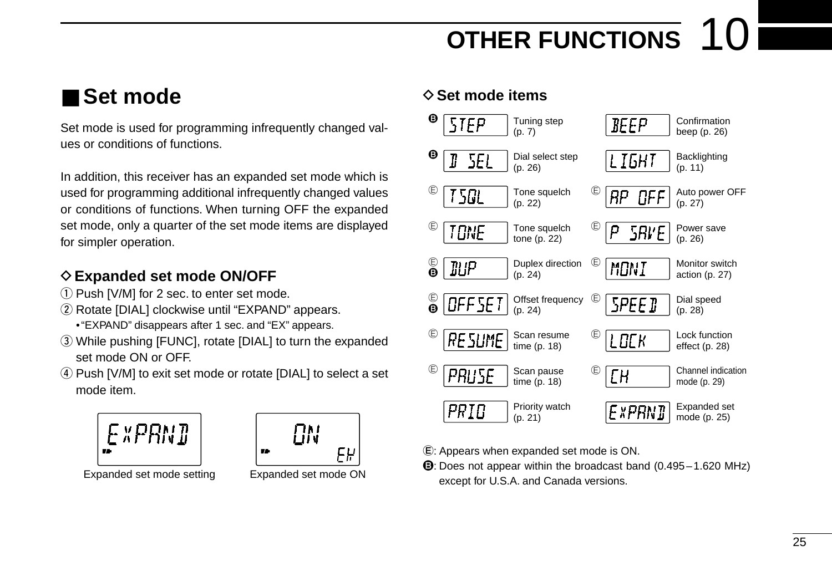## **OTHER FUNCTIONS**

## ■ **Set mode**

Set mode is used for programming infrequently changed values or conditions of functions.

In addition, this receiver has an expanded set mode which is used for programming additional infrequently changed values or conditions of functions. When turning OFF the expanded set mode, only a quarter of the set mode items are displayed for simpler operation.

### **♦ Expanded set mode ON/OFF**

- $(i)$  Push [V/M] for 2 sec. to enter set mode.
- $(2)$  Rotate [DIAL] clockwise until "EXPAND" appears. •"EXPAND" disappears after 1 sec. and "EX" appears.
- e While pushing [FUNC], rotate [DIAL] to turn the expanded set mode ON or OFF.
- 4) Push [V/M] to exit set mode or rotate [DIAL] to select a set mode item.





Expanded set mode setting Expanded set mode ON

### **◇ Set mode items**



E: Appears when expanded set mode is ON.

B: Does not appear within the broadcast band (0.495–1.620 MHz) except for U.S.A. and Canada versions.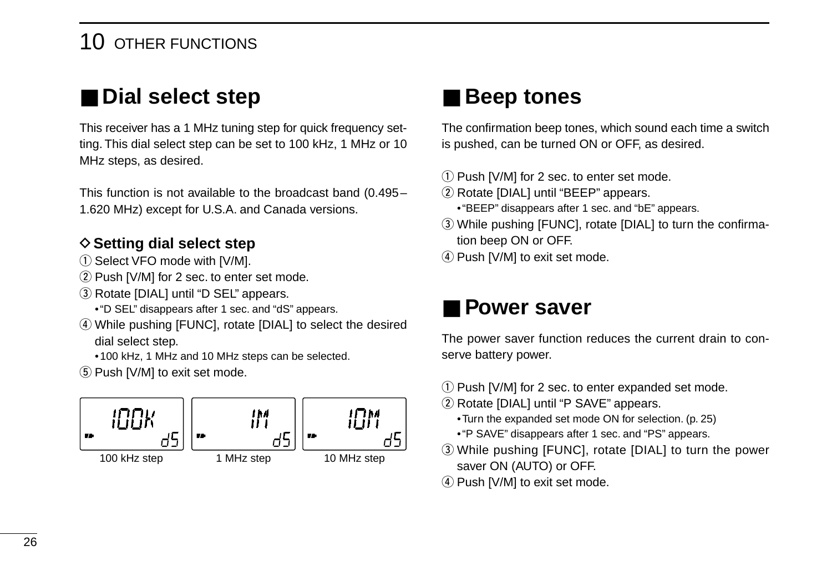### 10 OTHER FUNCTIONS

## ■ **Dial select step**

This receiver has a 1 MHz tuning step for quick frequency setting. This dial select step can be set to 100 kHz, 1 MHz or 10 MHz steps, as desired.

This function is not available to the broadcast band (0.495– 1.620 MHz) except for U.S.A. and Canada versions.

### **♦ Setting dial select step**

- $(1)$  Select VFO mode with [V/M].
- $(2)$  Push [V/M] for 2 sec. to enter set mode.
- 3) Rotate [DIAL] until "D SEL" appears.
	- •"D SEL" disappears after 1 sec. and "dS" appears.
- 4) While pushing [FUNC], rotate [DIAL] to select the desired dial select step.
	- •100 kHz, 1 MHz and 10 MHz steps can be selected.
- $(5)$  Push [V/M] to exit set mode.



## ■ **Beep tones**

The confirmation beep tones, which sound each time a switch is pushed, can be turned ON or OFF, as desired.

- 1) Push [V/M] for 2 sec. to enter set mode.
- 2 Rotate [DIAL] until "BEEP" appears.
	- •"BEEP" disappears after 1 sec. and "bE" appears.
- e While pushing [FUNC], rotate [DIAL] to turn the confirmation beep ON or OFF.
- (4) Push [V/M] to exit set mode.

## ■ **Power saver**

The power saver function reduces the current drain to conserve battery power.

- $\Omega$  Push [V/M] for 2 sec. to enter expanded set mode.
- (2) Rotate [DIAL] until "P SAVE" appears.
	- •Turn the expanded set mode ON for selection. (p. 25)
	- •"P SAVE" disappears after 1 sec. and "PS" appears.
- e While pushing [FUNC], rotate [DIAL] to turn the power saver ON (AUTO) or OFF.
- $(4)$  Push [V/M] to exit set mode.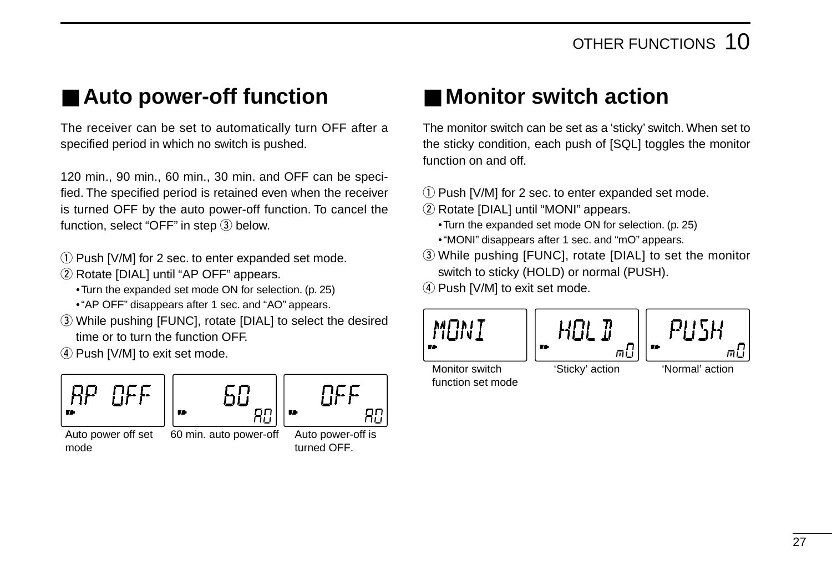## ■ **Auto power-off function**

The receiver can be set to automatically turn OFF after a specified period in which no switch is pushed.

120 min., 90 min., 60 min., 30 min. and OFF can be specified. The specified period is retained even when the receiver is turned OFF by the auto power-off function. To cancel the function, select "OFF" in step  $(3)$  below.

- q Push [V/M] for 2 sec. to enter expanded set mode.
- (2) Rotate [DIAL] until "AP OFF" appears.

•Turn the expanded set mode ON for selection. (p. 25)

- •"AP OFF" disappears after 1 sec. and "AO" appears.
- e While pushing [FUNC], rotate [DIAL] to select the desired time or to turn the function OFF.

4) Push [V/M] to exit set mode.



mode

60 72

Яß Auto power off set 60 min. auto power-off

Auto power-off is turned OFF.

NFF

Яſ

## ■ Monitor switch action

The monitor switch can be set as a 'sticky' switch. When set to the sticky condition, each push of [SQL] toggles the monitor function on and off.

- 1) Push [V/M] for 2 sec. to enter expanded set mode.
- (2) Rotate [DIAL] until "MONI" appears.
	- •Turn the expanded set mode ON for selection. (p. 25)
	- •"MONI" disappears after 1 sec. and "mO" appears.
- e While pushing [FUNC], rotate [DIAL] to set the monitor switch to sticky (HOLD) or normal (PUSH).
- $\sigma$  Push [V/M] to exit set mode.



function set mode

'Normal' action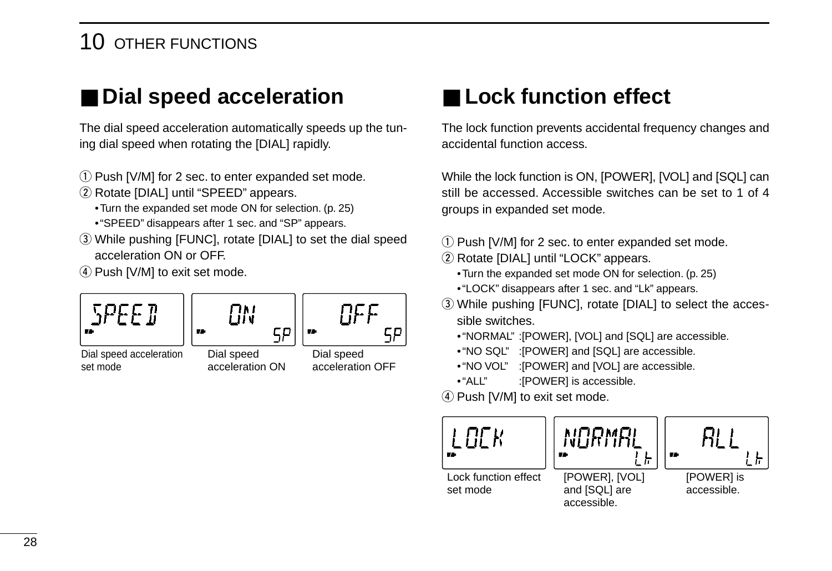## 10 OTHER FUNCTIONS

## ■ **Dial speed acceleration**

The dial speed acceleration automatically speeds up the tuning dial speed when rotating the [DIAL] rapidly.

- 1) Push [V/M] for 2 sec. to enter expanded set mode.
- 2 Rotate [DIAL] until "SPEED" appears.
	- •Turn the expanded set mode ON for selection. (p. 25)
	- •"SPEED" disappears after 1 sec. and "SP" appears.
- e While pushing [FUNC], rotate [DIAL] to set the dial speed acceleration ON or OFF.
- 4) Push [V/M] to exit set mode.

| 5PEED                   | $\Box$          | $\Box$           | $\Box$ | $\Box$ |
|-------------------------|-----------------|------------------|--------|--------|
| Dial speed acceleration | Dial speed      | Dial speed       |        |        |
| set mode                | acceleration ON | acceleration OFF |        |        |

## ■ **Lock function effect**

The lock function prevents accidental frequency changes and accidental function access.

While the lock function is ON, [POWER], [VOL] and [SQL] can still be accessed. Accessible switches can be set to 1 of 4 groups in expanded set mode.

- q Push [V/M] for 2 sec. to enter expanded set mode.
- (2) Rotate [DIAL] until "LOCK" appears.
	- •Turn the expanded set mode ON for selection. (p. 25)
	- •"LOCK" disappears after 1 sec. and "Lk" appears.
- e While pushing [FUNC], rotate [DIAL] to select the accessible switches.
	- •"NORMAL" :[POWER], [VOL] and [SQL] are accessible.
	- •"NO SQL" :[POWER] and [SQL] are accessible.
	- •"NO VOL" :[POWER] and [VOL] are accessible.
	- "ALL" :[POWER] is accessible.
- $(4)$  Push [V/M] to exit set mode.



and [SQL] are accessible.

accessible.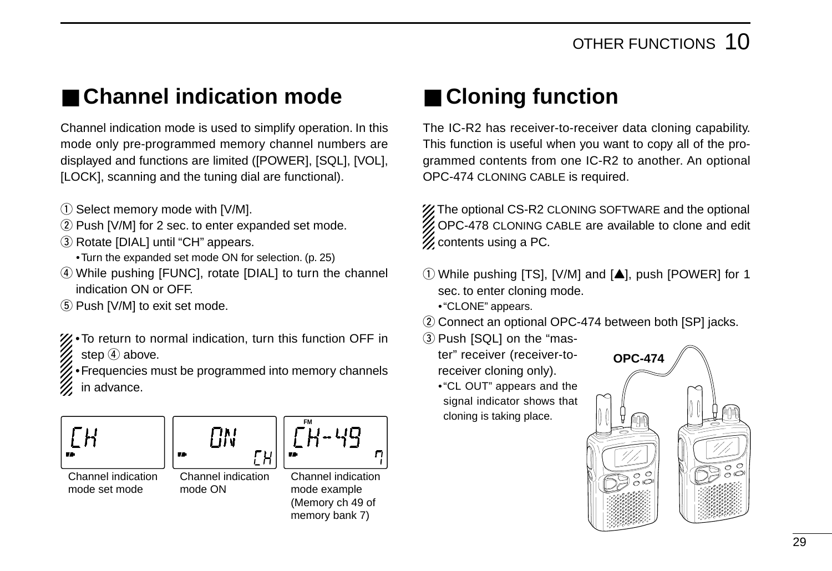## ■ **Channel indication mode**

Channel indication mode is used to simplify operation. In this mode only pre-programmed memory channel numbers are displayed and functions are limited ([POWER], [SQL], [VOL], [LOCK], scanning and the tuning dial are functional).

- $\omega$  Select memory mode with [V/M].
- 2 Push [V/M] for 2 sec. to enter expanded set mode.
- 3) Rotate [DIAL] until "CH" appears.
	- •Turn the expanded set mode ON for selection. (p. 25)
- (4) While pushing [FUNC], rotate [DIAL] to turn the channel indication ON or OFF.
- (5) Push [V/M] to exit set mode.
- •To return to normal indication, turn this function OFF in step  $\left(4\right)$  above.
- •Frequencies must be programmed into memory channels in advance.







Channel indication mode ON

ГH



Channel indication mode example (Memory ch 49 of memory bank 7)

## ■ **Cloning function**

The IC-R2 has receiver-to-receiver data cloning capability. This function is useful when you want to copy all of the programmed contents from one IC-R2 to another. An optional OPC-474 CLONING CABLE is required.

**% The optional CS-R2 CLONING SOFTWARE and the optional** OPC-478 CLONING CABLE are available to clone and edit  $\mathscr{U}$  contents using a PC.

- $\circ$  While pushing [TS], [V/M] and  $[\triangle]$ , push [POWER] for 1 sec. to enter cloning mode.
	- •"CLONE" appears.
- 2) Connect an optional OPC-474 between both [SP] jacks.
- 3) Push [SQL] on the "mas
	- ter" receiver (receiver-toreceiver cloning only).
	- •"CL OUT" appears and the signal indicator shows that cloning is taking place.

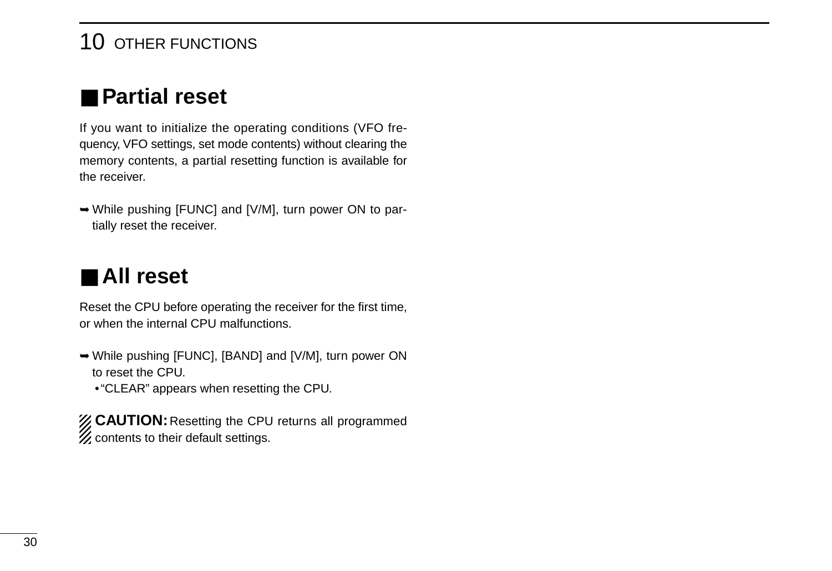### 10 OTHER FUNCTIONS

## ■ **Partial reset**

If you want to initialize the operating conditions (VFO frequency, VFO settings, set mode contents) without clearing the memory contents, a partial resetting function is available for the receiver.

➥While pushing [FUNC] and [V/M], turn power ON to partially reset the receiver.

## ■ **All reset**

Reset the CPU before operating the receiver for the first time, or when the internal CPU malfunctions.

- ➥While pushing [FUNC], [BAND] and [V/M], turn power ON to reset the CPU.
	- •"CLEAR" appears when resetting the CPU.

**Z CAUTION:** Resetting the CPU returns all programmed **Z** contents to their default settings.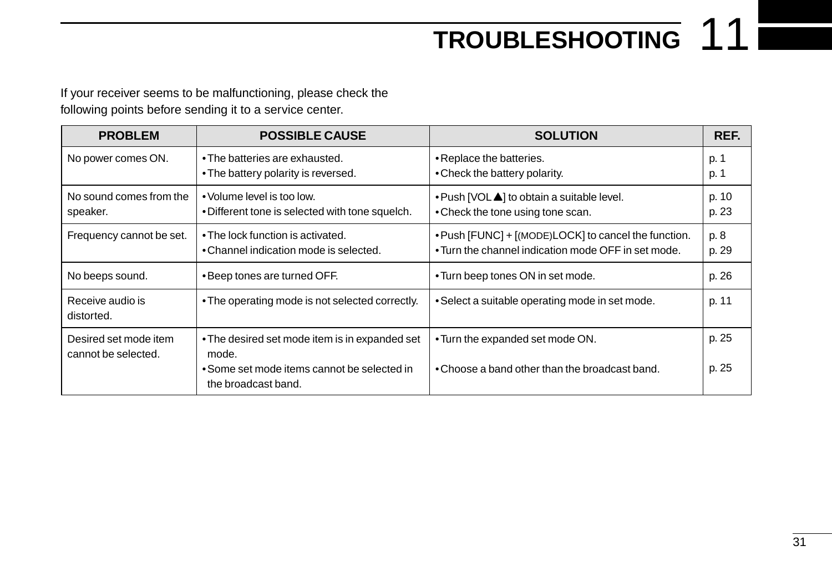## **TROUBLESHOOTING** 11

If your receiver seems to be malfunctioning, please check the following points before sending it to a service center.

| <b>PROBLEM</b>                               | <b>POSSIBLE CAUSE</b>                                                                                  | <b>SOLUTION</b>                                                                                             | REF.           |
|----------------------------------------------|--------------------------------------------------------------------------------------------------------|-------------------------------------------------------------------------------------------------------------|----------------|
| No power comes ON.                           | • The batteries are exhausted.<br>• The battery polarity is reversed.                                  | • Replace the batteries.<br>• Check the battery polarity.                                                   | p. -<br>p. 1   |
| No sound comes from the<br>speaker.          | • Volume level is too low.<br>. Different tone is selected with tone squelch.                          | • Push [VOL 1] to obtain a suitable level.<br>• Check the tone using tone scan.                             | p. 10<br>p. 23 |
| Frequency cannot be set.                     | • The lock function is activated.<br>• Channel indication mode is selected.                            | . Push [FUNC] + [(MODE)LOCK] to cancel the function.<br>• Turn the channel indication mode OFF in set mode. | p. 8<br>p. 29  |
| No beeps sound.                              | • Beep tones are turned OFF.                                                                           | • Turn beep tones ON in set mode.                                                                           | p. 26          |
| Receive audio is<br>distorted.               | • The operating mode is not selected correctly.                                                        | • Select a suitable operating mode in set mode.                                                             | p. 11          |
| Desired set mode item<br>cannot be selected. | • The desired set mode item is in expanded set<br>mode.<br>• Some set mode items cannot be selected in | • Turn the expanded set mode ON.<br>• Choose a band other than the broadcast band.                          | p. 25<br>p. 25 |
|                                              | the broadcast band.                                                                                    |                                                                                                             |                |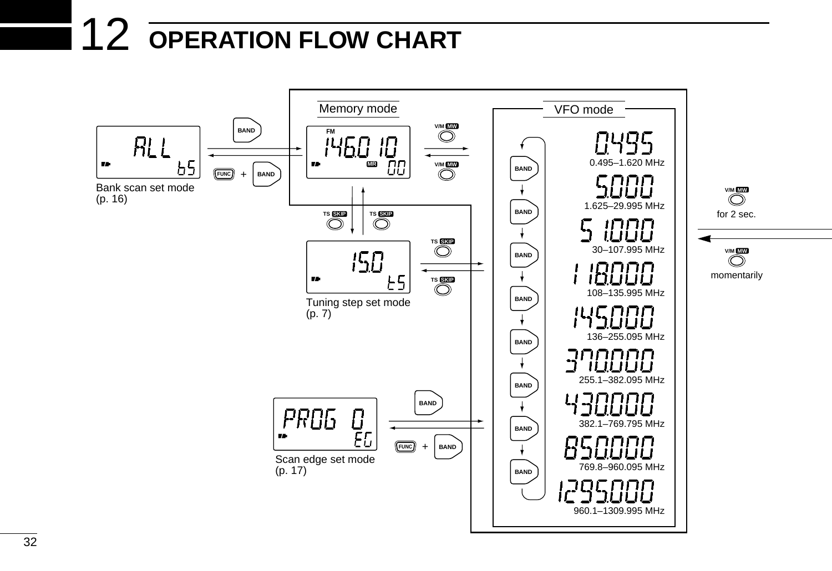## 12 **OPERATION FLOW CHART**

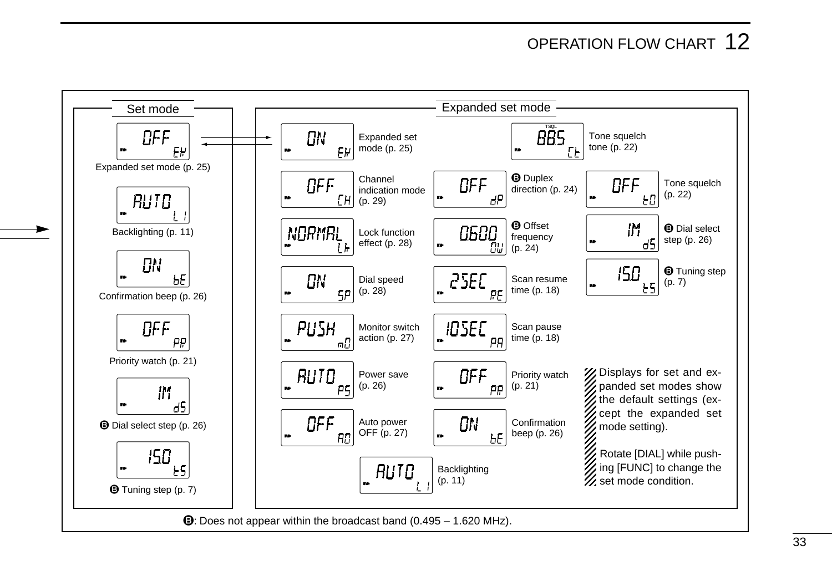## OPERATION FLOW CHART 12

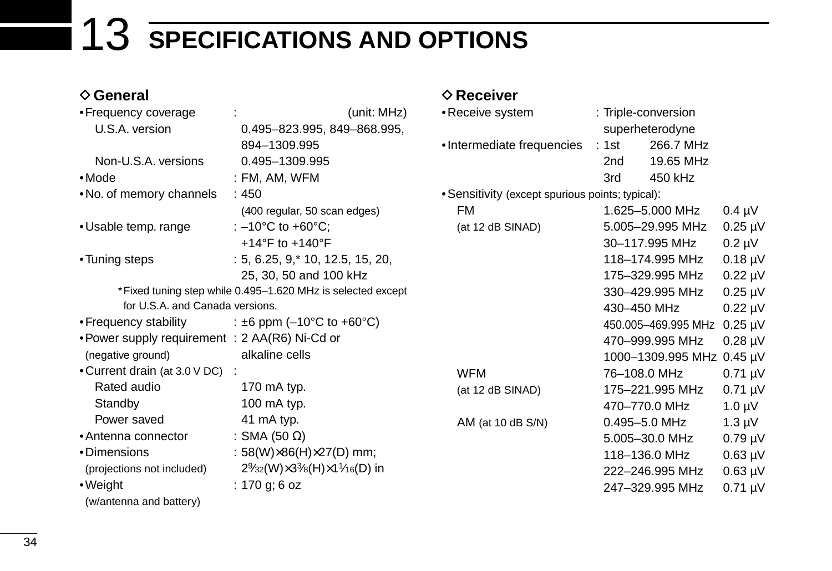## 13 **SPECIFICATIONS AND OPTIONS**

### **♦ General**

| • Frequency coverage                           | (unit: MHz)                                                                                                   | • Receive system                                 | : Triple-conversion       |              |
|------------------------------------------------|---------------------------------------------------------------------------------------------------------------|--------------------------------------------------|---------------------------|--------------|
| U.S.A. version                                 | 0.495-823.995, 849-868.995,                                                                                   |                                                  | superheterodyne           |              |
|                                                | 894-1309.995                                                                                                  | •Intermediate frequencies                        | : 1st<br>266.7 MHz        |              |
| Non-U.S.A. versions                            | 0.495-1309.995                                                                                                |                                                  | 19.65 MHz<br>2nd          |              |
| $\bullet$ Mode                                 | $:$ FM, AM, WFM                                                                                               |                                                  | 450 kHz<br>3rd            |              |
| • No. of memory channels                       | :450                                                                                                          | • Sensitivity (except spurious points; typical): |                           |              |
|                                                | (400 regular, 50 scan edges)                                                                                  | FM                                               | 1.625-5.000 MHz           | $0.4 \mu V$  |
| • Usable temp. range                           | : $-10^{\circ}$ C to $+60^{\circ}$ C;                                                                         | (at 12 dB SINAD)                                 | 5.005-29.995 MHz          | $0.25 \mu V$ |
|                                                | +14°F to +140°F                                                                                               |                                                  | 30-117.995 MHz            | $0.2 \mu V$  |
| • Tuning steps                                 | $: 5, 6.25, 9, * 10, 12.5, 15, 20,$                                                                           |                                                  | 118-174.995 MHz           | $0.18 \mu V$ |
|                                                | 25, 30, 50 and 100 kHz                                                                                        |                                                  | 175-329.995 MHz           | $0.22 \mu V$ |
|                                                | *Fixed tuning step while 0.495-1.620 MHz is selected except                                                   |                                                  | 330-429.995 MHz           | $0.25 \mu V$ |
| for U.S.A. and Canada versions.                |                                                                                                               |                                                  | 430-450 MHz               | $0.22 \mu V$ |
| • Frequency stability                          | : ±6 ppm (-10°C to +60°C)                                                                                     |                                                  | 450.005-469.995 MHz       | $0.25 \mu V$ |
| • Power supply requirement : 2 AA(R6) Ni-Cd or |                                                                                                               |                                                  | 470-999.995 MHz           | $0.28 \mu V$ |
| (negative ground)                              | alkaline cells                                                                                                |                                                  | 1000-1309.995 MHz 0.45 µV |              |
| • Current drain (at 3.0 V DC) :                |                                                                                                               | WFM                                              | 76-108.0 MHz              | $0.71 \mu V$ |
| Rated audio                                    | 170 mA typ.                                                                                                   | (at 12 dB SINAD)                                 | 175-221.995 MHz           | $0.71 \mu V$ |
| Standby                                        | 100 mA typ.                                                                                                   |                                                  | 470-770.0 MHz             | $1.0 \mu V$  |
| Power saved                                    | 41 mA typ.                                                                                                    | AM (at 10 dB $S/N$ )                             | 0.495-5.0 MHz             | $1.3 \mu V$  |
| • Antenna connector                            | : SMA (50 $\Omega$ )                                                                                          |                                                  | 5.005-30.0 MHz            | $0.79 \mu V$ |
| •Dimensions                                    | : 58(W) $\times$ 86(H) $\times$ 27(D) mm;                                                                     |                                                  | 118-136.0 MHz             | $0.63 \mu V$ |
| (projections not included)                     | $2\frac{9}{32}$ (W) $\times$ 3 <sup>3</sup> / <sub>8</sub> (H) $\times$ 1 <sup>1</sup> / <sub>16</sub> (D) in |                                                  | 222-246.995 MHz           | $0.63 \mu V$ |
| •Weight                                        | : 170 g; 6 oz                                                                                                 |                                                  | 247-329.995 MHz           | $0.71 \mu V$ |

 $♦$  **Receiver** 

(w/antenna and battery)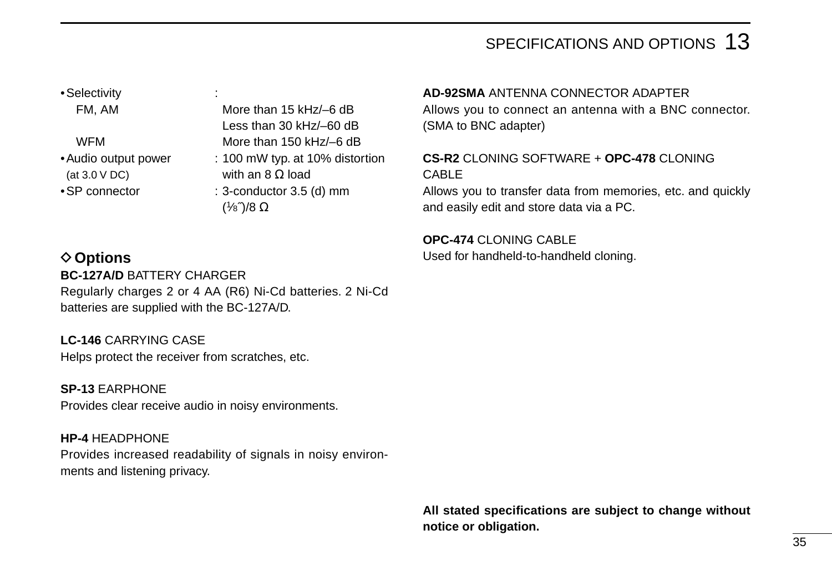### SPECIFICATIONS AND OPTIONS 13

•Selectivity :

(at 3.0 V DC) with an 8  $\Omega$  load

FM, AM More than 15 kHz/-6 dB Less than 30 kHz/–60 dB WFM More than 150 kHz/-6 dB •Audio output power : 100 mW typ. at 10% distortion •SP connector : 3-conductor 3.5 (d) mm (1⁄8˝)/8 Ω

### **◇ Options BC-127A/D** BATTERY CHARGER Regularly charges 2 or 4 AA (R6) Ni-Cd batteries. 2 Ni-Cd batteries are supplied with the BC-127A/D.

**LC-146** CARRYING CASE Helps protect the receiver from scratches, etc.

**SP-13** EARPHONE Provides clear receive audio in noisy environments.

**HP-4** HEADPHONE Provides increased readability of signals in noisy environments and listening privacy.

#### **AD-92SMA** ANTENNA CONNECTOR ADAPTER

Allows you to connect an antenna with a BNC connector. (SMA to BNC adapter)

### **CS-R2** CLONING SOFTWARE + **OPC-478** CLONING CABLE

Allows you to transfer data from memories, etc. and quickly and easily edit and store data via a PC.

**OPC-474** CLONING CABLE Used for handheld-to-handheld cloning.

**All stated specifications are subject to change without notice or obligation.**